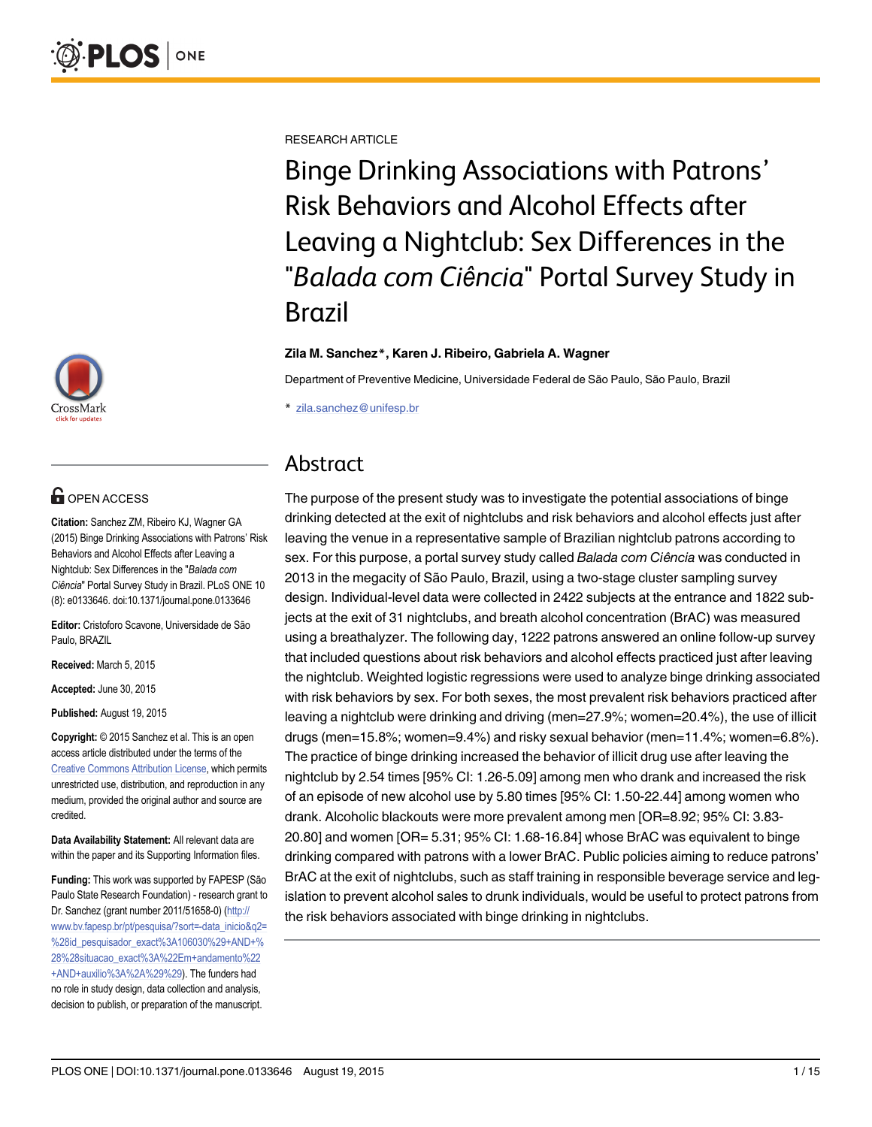

# **OPEN ACCESS**

Citation: Sanchez ZM, Ribeiro KJ, Wagner GA (2015) Binge Drinking Associations with Patrons' Risk Behaviors and Alcohol Effects after Leaving a Nightclub: Sex Differences in the "Balada com Ciência" Portal Survey Study in Brazil. PLoS ONE 10 (8): e0133646. doi:10.1371/journal.pone.0133646

Editor: Cristoforo Scavone, Universidade de São Paulo, BRAZIL

Received: March 5, 2015

Accepted: June 30, 2015

Published: August 19, 2015

Copyright: © 2015 Sanchez et al. This is an open access article distributed under the terms of the [Creative Commons Attribution License,](http://creativecommons.org/licenses/by/4.0/) which permits unrestricted use, distribution, and reproduction in any medium, provided the original author and source are credited.

Data Availability Statement: All relevant data are within the paper and its Supporting Information files.

Funding: This work was supported by FAPESP (São Paulo State Research Foundation) - research grant to Dr. Sanchez (grant number 2011/51658-0) ([http://](http://www.bv.fapesp.br/pt/pesquisa/?sort=-data_inicio&q2=%28id_pesquisador_exact%3A106030%29+AND+%28%28situacao_exact%3A%22Em+andamento%22+AND+auxilio%3A%2A%29%29) [www.bv.fapesp.br/pt/pesquisa/?sort=-data\\_inicio&q2=](http://www.bv.fapesp.br/pt/pesquisa/?sort=-data_inicio&q2=%28id_pesquisador_exact%3A106030%29+AND+%28%28situacao_exact%3A%22Em+andamento%22+AND+auxilio%3A%2A%29%29) [%28id\\_pesquisador\\_exact%3A106030%29+AND+%](http://www.bv.fapesp.br/pt/pesquisa/?sort=-data_inicio&q2=%28id_pesquisador_exact%3A106030%29+AND+%28%28situacao_exact%3A%22Em+andamento%22+AND+auxilio%3A%2A%29%29) [28%28situacao\\_exact%3A%22Em+andamento%22](http://www.bv.fapesp.br/pt/pesquisa/?sort=-data_inicio&q2=%28id_pesquisador_exact%3A106030%29+AND+%28%28situacao_exact%3A%22Em+andamento%22+AND+auxilio%3A%2A%29%29) [+AND+auxilio%3A%2A%29%29\)](http://www.bv.fapesp.br/pt/pesquisa/?sort=-data_inicio&q2=%28id_pesquisador_exact%3A106030%29+AND+%28%28situacao_exact%3A%22Em+andamento%22+AND+auxilio%3A%2A%29%29). The funders had no role in study design, data collection and analysis, decision to publish, or preparation of the manuscript.

RESEARCH ARTICLE

Binge Drinking Associations with Patrons' Risk Behaviors and Alcohol Effects after Leaving a Nightclub: Sex Differences in the "Balada com Ciência" Portal Survey Study in Brazil

#### Zila M. Sanchez\*, Karen J. Ribeiro, Gabriela A. Wagner

Department of Preventive Medicine, Universidade Federal de São Paulo, São Paulo, Brazil

\* zila.sanchez@unifesp.br

# Abstract

The purpose of the present study was to investigate the potential associations of binge drinking detected at the exit of nightclubs and risk behaviors and alcohol effects just after leaving the venue in a representative sample of Brazilian nightclub patrons according to sex. For this purpose, a portal survey study called Balada com Ciência was conducted in 2013 in the megacity of São Paulo, Brazil, using a two-stage cluster sampling survey design. Individual-level data were collected in 2422 subjects at the entrance and 1822 subjects at the exit of 31 nightclubs, and breath alcohol concentration (BrAC) was measured using a breathalyzer. The following day, 1222 patrons answered an online follow-up survey that included questions about risk behaviors and alcohol effects practiced just after leaving the nightclub. Weighted logistic regressions were used to analyze binge drinking associated with risk behaviors by sex. For both sexes, the most prevalent risk behaviors practiced after leaving a nightclub were drinking and driving (men=27.9%; women=20.4%), the use of illicit drugs (men=15.8%; women=9.4%) and risky sexual behavior (men=11.4%; women=6.8%). The practice of binge drinking increased the behavior of illicit drug use after leaving the nightclub by 2.54 times [95% CI: 1.26-5.09] among men who drank and increased the risk of an episode of new alcohol use by 5.80 times [95% CI: 1.50-22.44] among women who drank. Alcoholic blackouts were more prevalent among men [OR=8.92; 95% CI: 3.83- 20.80] and women [OR= 5.31; 95% CI: 1.68-16.84] whose BrAC was equivalent to binge drinking compared with patrons with a lower BrAC. Public policies aiming to reduce patrons' BrAC at the exit of nightclubs, such as staff training in responsible beverage service and legislation to prevent alcohol sales to drunk individuals, would be useful to protect patrons from the risk behaviors associated with binge drinking in nightclubs.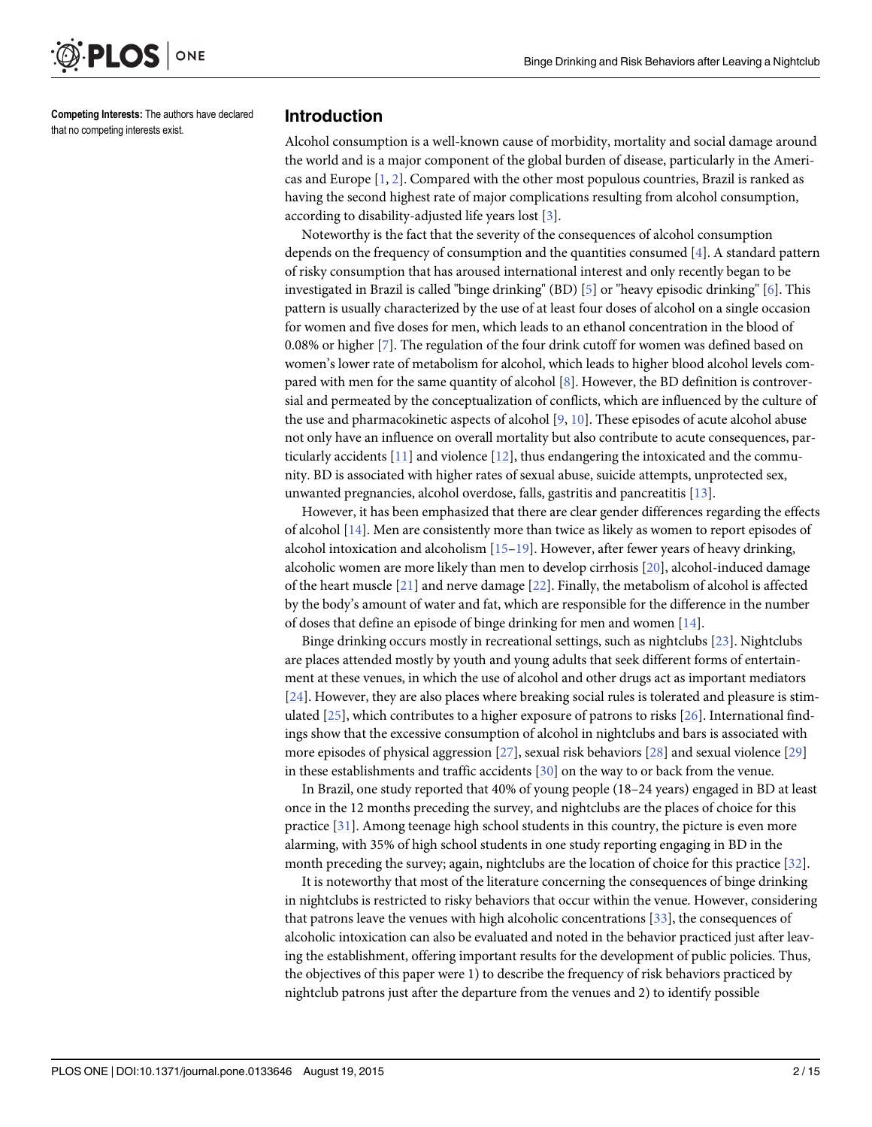<span id="page-1-0"></span>

Competing Interests: The authors have declared that no competing interests exist.

#### Introduction

Alcohol consumption is a well-known cause of morbidity, mortality and social damage around the world and is a major component of the global burden of disease, particularly in the Americas and Europe  $[1, 2]$  $[1, 2]$  $[1, 2]$  $[1, 2]$ . Compared with the other most populous countries, Brazil is ranked as having the second highest rate of major complications resulting from alcohol consumption, according to disability-adjusted life years lost [[3\]](#page-12-0).

Noteworthy is the fact that the severity of the consequences of alcohol consumption depends on the frequency of consumption and the quantities consumed [[4](#page-12-0)]. A standard pattern of risky consumption that has aroused international interest and only recently began to be investigated in Brazil is called "binge drinking" (BD) [\[5](#page-12-0)] or "heavy episodic drinking" [\[6\]](#page-12-0). This pattern is usually characterized by the use of at least four doses of alcohol on a single occasion for women and five doses for men, which leads to an ethanol concentration in the blood of 0.08% or higher [\[7](#page-12-0)]. The regulation of the four drink cutoff for women was defined based on women's lower rate of metabolism for alcohol, which leads to higher blood alcohol levels compared with men for the same quantity of alcohol  $[8]$  $[8]$ . However, the BD definition is controversial and permeated by the conceptualization of conflicts, which are influenced by the culture of the use and pharmacokinetic aspects of alcohol  $[9, 10]$  $[9, 10]$  $[9, 10]$  $[9, 10]$  $[9, 10]$ . These episodes of acute alcohol abuse not only have an influence on overall mortality but also contribute to acute consequences, particularly accidents [\[11\]](#page-12-0) and violence [\[12\]](#page-12-0), thus endangering the intoxicated and the community. BD is associated with higher rates of sexual abuse, suicide attempts, unprotected sex, unwanted pregnancies, alcohol overdose, falls, gastritis and pancreatitis [\[13](#page-12-0)].

However, it has been emphasized that there are clear gender differences regarding the effects of alcohol [[14](#page-12-0)]. Men are consistently more than twice as likely as women to report episodes of alcohol intoxication and alcoholism [\[15](#page-12-0)–[19\]](#page-12-0). However, after fewer years of heavy drinking, alcoholic women are more likely than men to develop cirrhosis [\[20\]](#page-12-0), alcohol-induced damage of the heart muscle  $[21]$  and nerve damage  $[22]$ . Finally, the metabolism of alcohol is affected by the body's amount of water and fat, which are responsible for the difference in the number of doses that define an episode of binge drinking for men and women [[14](#page-12-0)].

Binge drinking occurs mostly in recreational settings, such as nightclubs [[23](#page-12-0)]. Nightclubs are places attended mostly by youth and young adults that seek different forms of entertainment at these venues, in which the use of alcohol and other drugs act as important mediators [\[24](#page-12-0)]. However, they are also places where breaking social rules is tolerated and pleasure is stimulated  $[25]$ , which contributes to a higher exposure of patrons to risks  $[26]$  $[26]$  $[26]$ . International findings show that the excessive consumption of alcohol in nightclubs and bars is associated with more episodes of physical aggression [\[27\]](#page-13-0), sexual risk behaviors [\[28\]](#page-13-0) and sexual violence [[29\]](#page-13-0) in these establishments and traffic accidents  $[30]$  on the way to or back from the venue.

In Brazil, one study reported that 40% of young people (18–24 years) engaged in BD at least once in the 12 months preceding the survey, and nightclubs are the places of choice for this practice [\[31\]](#page-13-0). Among teenage high school students in this country, the picture is even more alarming, with 35% of high school students in one study reporting engaging in BD in the month preceding the survey; again, nightclubs are the location of choice for this practice [[32](#page-13-0)].

It is noteworthy that most of the literature concerning the consequences of binge drinking in nightclubs is restricted to risky behaviors that occur within the venue. However, considering that patrons leave the venues with high alcoholic concentrations [\[33\]](#page-13-0), the consequences of alcoholic intoxication can also be evaluated and noted in the behavior practiced just after leaving the establishment, offering important results for the development of public policies. Thus, the objectives of this paper were 1) to describe the frequency of risk behaviors practiced by nightclub patrons just after the departure from the venues and 2) to identify possible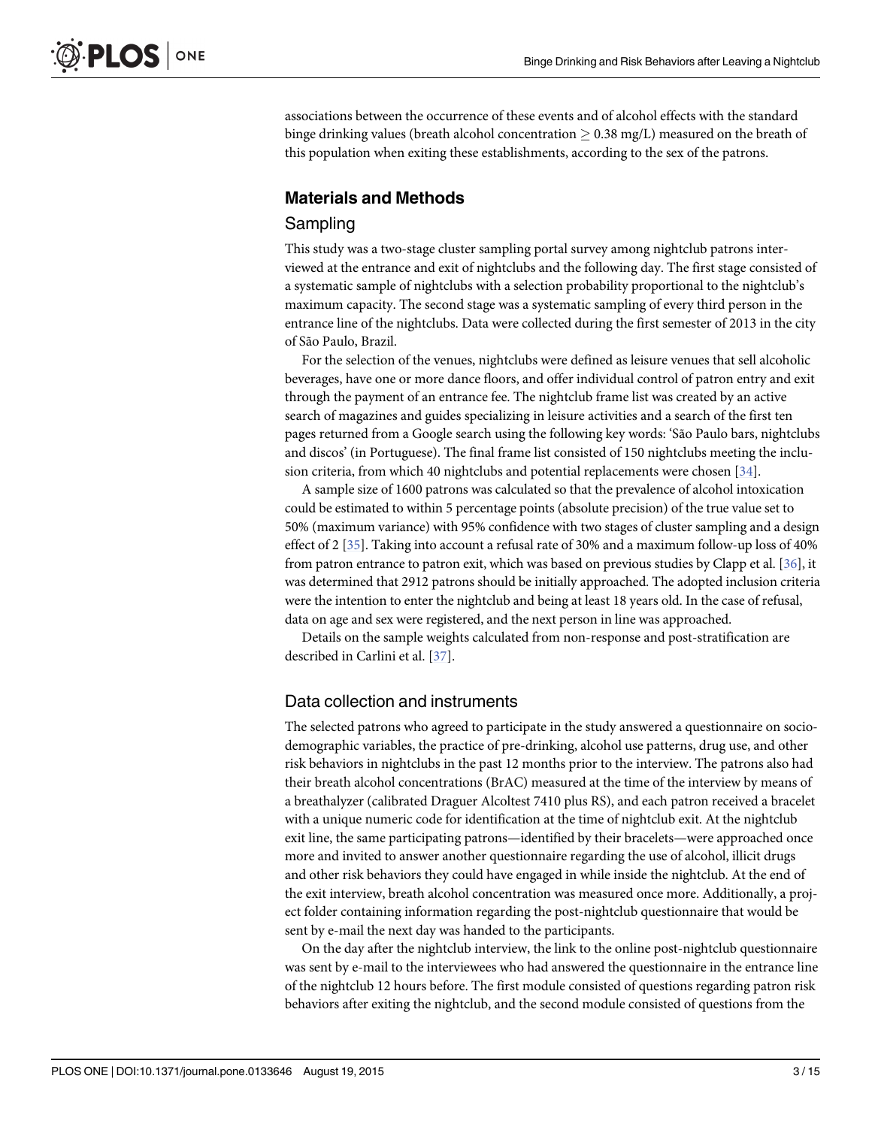<span id="page-2-0"></span>associations between the occurrence of these events and of alcohol effects with the standard binge drinking values (breath alcohol concentration  $\geq 0.38$  mg/L) measured on the breath of this population when exiting these establishments, according to the sex of the patrons.

# Materials and Methods

### Sampling

This study was a two-stage cluster sampling portal survey among nightclub patrons interviewed at the entrance and exit of nightclubs and the following day. The first stage consisted of a systematic sample of nightclubs with a selection probability proportional to the nightclub's maximum capacity. The second stage was a systematic sampling of every third person in the entrance line of the nightclubs. Data were collected during the first semester of 2013 in the city of São Paulo, Brazil.

For the selection of the venues, nightclubs were defined as leisure venues that sell alcoholic beverages, have one or more dance floors, and offer individual control of patron entry and exit through the payment of an entrance fee. The nightclub frame list was created by an active search of magazines and guides specializing in leisure activities and a search of the first ten pages returned from a Google search using the following key words: 'São Paulo bars, nightclubs and discos' (in Portuguese). The final frame list consisted of 150 nightclubs meeting the inclusion criteria, from which 40 nightclubs and potential replacements were chosen [\[34\]](#page-13-0).

A sample size of 1600 patrons was calculated so that the prevalence of alcohol intoxication could be estimated to within 5 percentage points (absolute precision) of the true value set to 50% (maximum variance) with 95% confidence with two stages of cluster sampling and a design effect of 2 [[35](#page-13-0)]. Taking into account a refusal rate of 30% and a maximum follow-up loss of 40% from patron entrance to patron exit, which was based on previous studies by Clapp et al. [\[36\]](#page-13-0), it was determined that 2912 patrons should be initially approached. The adopted inclusion criteria were the intention to enter the nightclub and being at least 18 years old. In the case of refusal, data on age and sex were registered, and the next person in line was approached.

Details on the sample weights calculated from non-response and post-stratification are described in Carlini et al. [\[37\]](#page-13-0).

### Data collection and instruments

The selected patrons who agreed to participate in the study answered a questionnaire on sociodemographic variables, the practice of pre-drinking, alcohol use patterns, drug use, and other risk behaviors in nightclubs in the past 12 months prior to the interview. The patrons also had their breath alcohol concentrations (BrAC) measured at the time of the interview by means of a breathalyzer (calibrated Draguer Alcoltest 7410 plus RS), and each patron received a bracelet with a unique numeric code for identification at the time of nightclub exit. At the nightclub exit line, the same participating patrons—identified by their bracelets—were approached once more and invited to answer another questionnaire regarding the use of alcohol, illicit drugs and other risk behaviors they could have engaged in while inside the nightclub. At the end of the exit interview, breath alcohol concentration was measured once more. Additionally, a project folder containing information regarding the post-nightclub questionnaire that would be sent by e-mail the next day was handed to the participants.

On the day after the nightclub interview, the link to the online post-nightclub questionnaire was sent by e-mail to the interviewees who had answered the questionnaire in the entrance line of the nightclub 12 hours before. The first module consisted of questions regarding patron risk behaviors after exiting the nightclub, and the second module consisted of questions from the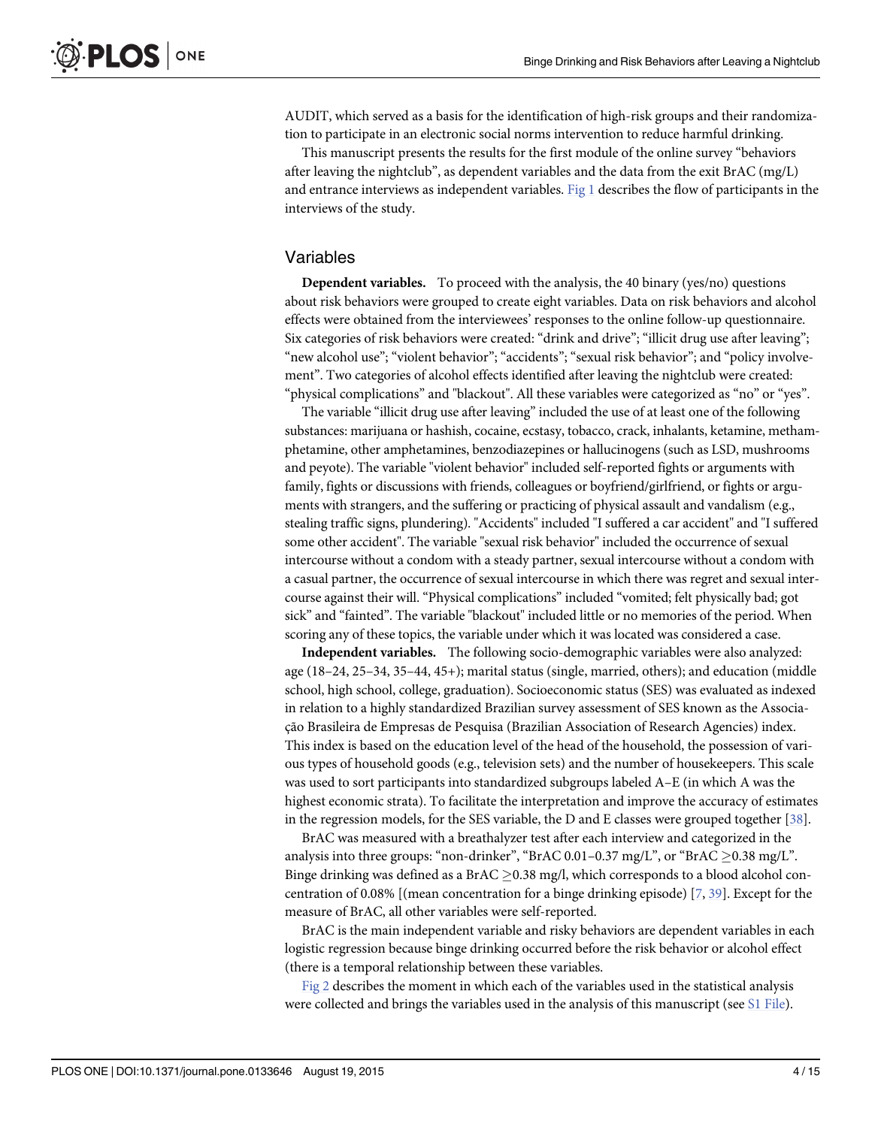<span id="page-3-0"></span>AUDIT, which served as a basis for the identification of high-risk groups and their randomization to participate in an electronic social norms intervention to reduce harmful drinking.

This manuscript presents the results for the first module of the online survey "behaviors after leaving the nightclub", as dependent variables and the data from the exit BrAC (mg/L) and entrance interviews as independent variables. [Fig 1](#page-4-0) describes the flow of participants in the interviews of the study.

#### Variables

Dependent variables. To proceed with the analysis, the 40 binary (yes/no) questions about risk behaviors were grouped to create eight variables. Data on risk behaviors and alcohol effects were obtained from the interviewees' responses to the online follow-up questionnaire. Six categories of risk behaviors were created: "drink and drive"; "illicit drug use after leaving"; "new alcohol use"; "violent behavior"; "accidents"; "sexual risk behavior"; and "policy involvement". Two categories of alcohol effects identified after leaving the nightclub were created: "physical complications" and "blackout". All these variables were categorized as "no" or "yes".

The variable "illicit drug use after leaving" included the use of at least one of the following substances: marijuana or hashish, cocaine, ecstasy, tobacco, crack, inhalants, ketamine, methamphetamine, other amphetamines, benzodiazepines or hallucinogens (such as LSD, mushrooms and peyote). The variable "violent behavior" included self-reported fights or arguments with family, fights or discussions with friends, colleagues or boyfriend/girlfriend, or fights or arguments with strangers, and the suffering or practicing of physical assault and vandalism (e.g., stealing traffic signs, plundering). "Accidents" included "I suffered a car accident" and "I suffered some other accident". The variable "sexual risk behavior" included the occurrence of sexual intercourse without a condom with a steady partner, sexual intercourse without a condom with a casual partner, the occurrence of sexual intercourse in which there was regret and sexual intercourse against their will. "Physical complications" included "vomited; felt physically bad; got sick" and "fainted". The variable "blackout" included little or no memories of the period. When scoring any of these topics, the variable under which it was located was considered a case.

Independent variables. The following socio-demographic variables were also analyzed: age (18–24, 25–34, 35–44, 45+); marital status (single, married, others); and education (middle school, high school, college, graduation). Socioeconomic status (SES) was evaluated as indexed in relation to a highly standardized Brazilian survey assessment of SES known as the Associação Brasileira de Empresas de Pesquisa (Brazilian Association of Research Agencies) index. This index is based on the education level of the head of the household, the possession of various types of household goods (e.g., television sets) and the number of housekeepers. This scale was used to sort participants into standardized subgroups labeled A–E (in which A was the highest economic strata). To facilitate the interpretation and improve the accuracy of estimates in the regression models, for the SES variable, the D and E classes were grouped together [[38](#page-13-0)].

BrAC was measured with a breathalyzer test after each interview and categorized in the analysis into three groups: "non-drinker", "BrAC 0.01–0.37 mg/L", or "BrAC  $\geq$  0.38 mg/L". Binge drinking was defined as a BrAC  $> 0.38$  mg/l, which corresponds to a blood alcohol concentration of 0.08% [(mean concentration for a binge drinking episode)  $[7, 39]$  $[7, 39]$  $[7, 39]$  $[7, 39]$ . Except for the measure of BrAC, all other variables were self-reported.

BrAC is the main independent variable and risky behaviors are dependent variables in each logistic regression because binge drinking occurred before the risk behavior or alcohol effect (there is a temporal relationship between these variables.

Fig  $2$  describes the moment in which each of the variables used in the statistical analysis were collected and brings the variables used in the analysis of this manuscript (see [S1 File](#page-11-0)).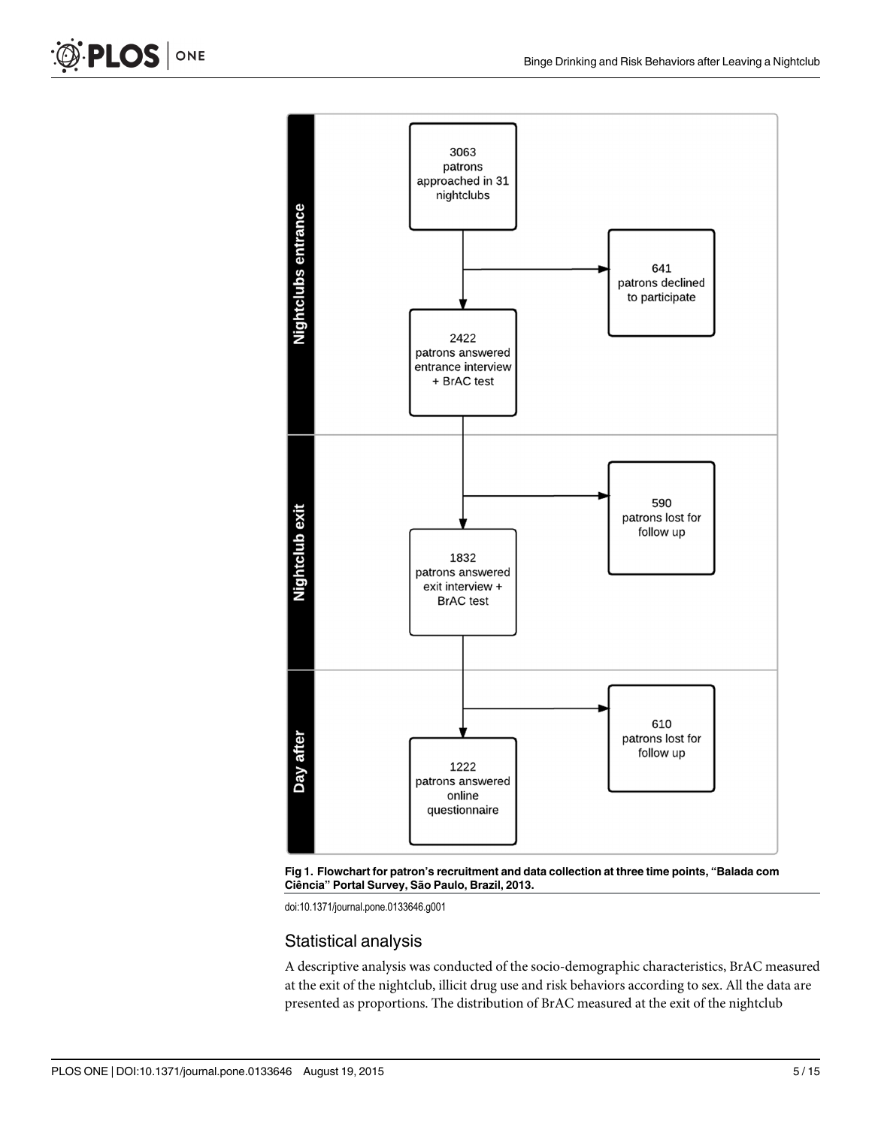



doi:10.1371/journal.pone.0133646.g001

## Statistical analysis

A descriptive analysis was conducted of the socio-demographic characteristics, BrAC measured at the exit of the nightclub, illicit drug use and risk behaviors according to sex. All the data are presented as proportions. The distribution of BrAC measured at the exit of the nightclub

<span id="page-4-0"></span>PLOS | ONE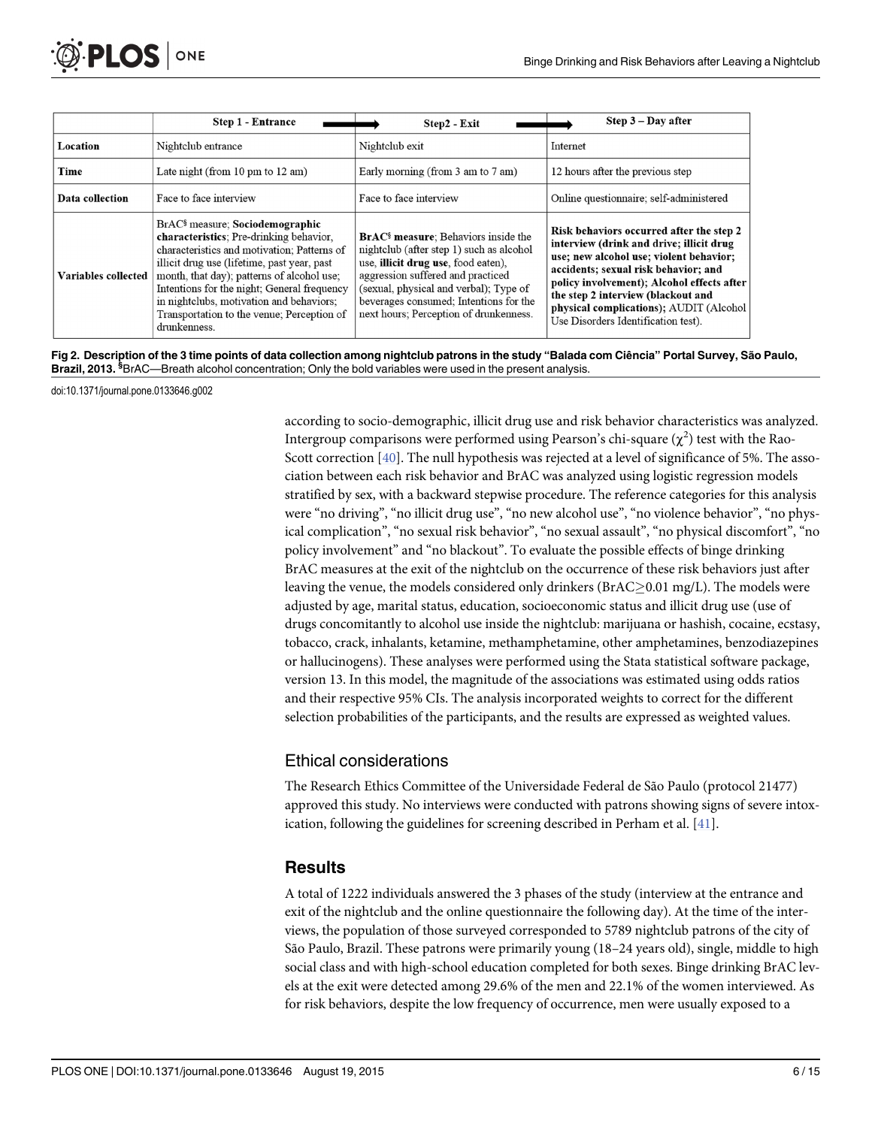<span id="page-5-0"></span>

|                     | <b>Step 1 - Entrance</b>                                                                                                                                                                                                                                                                                                                                                                    | Step2 - Exit                                                                                                                                                                                                                                                                                                | $Step 3 - Day after$                                                                                                                                                                                                                                                                                                                          |
|---------------------|---------------------------------------------------------------------------------------------------------------------------------------------------------------------------------------------------------------------------------------------------------------------------------------------------------------------------------------------------------------------------------------------|-------------------------------------------------------------------------------------------------------------------------------------------------------------------------------------------------------------------------------------------------------------------------------------------------------------|-----------------------------------------------------------------------------------------------------------------------------------------------------------------------------------------------------------------------------------------------------------------------------------------------------------------------------------------------|
| Location            | Nightclub entrance                                                                                                                                                                                                                                                                                                                                                                          | Nightclub exit                                                                                                                                                                                                                                                                                              | Internet                                                                                                                                                                                                                                                                                                                                      |
| Time                | Late night (from $10 \text{ pm}$ to $12 \text{ am}$ )                                                                                                                                                                                                                                                                                                                                       | Early morning (from 3 am to 7 am)                                                                                                                                                                                                                                                                           | 12 hours after the previous step                                                                                                                                                                                                                                                                                                              |
| Data collection     | Face to face interview                                                                                                                                                                                                                                                                                                                                                                      | Face to face interview                                                                                                                                                                                                                                                                                      | Online questionnaire; self-administered                                                                                                                                                                                                                                                                                                       |
| Variables collected | BrAC <sup>§</sup> measure; Sociodemographic<br>characteristics: Pre-drinking behavior,<br>characteristics and motivation; Patterns of<br>illicit drug use (lifetime, past year, past<br>month, that day); patterns of alcohol use;<br>Intentions for the night; General frequency<br>in nightclubs, motivation and behaviors;<br>Transportation to the venue; Perception of<br>drunkenness. | <b>BrAC<sup>§</sup></b> measure: Behaviors inside the<br>nightclub (after step 1) such as alcohol<br>use, illicit drug use, food eaten),<br>aggression suffered and practiced<br>(sexual, physical and verbal); Type of<br>beverages consumed; Intentions for the<br>next hours; Perception of drunkenness. | Risk behaviors occurred after the step 2<br>interview (drink and drive; illicit drug<br>use; new alcohol use; violent behavior;<br>accidents; sexual risk behavior; and<br>policy involvement); Alcohol effects after<br>the step 2 interview (blackout and<br>physical complications); AUDIT (Alcohol<br>Use Disorders Identification test). |

[Fig 2. D](#page-3-0)escription of the 3 time points of data collection among nightclub patrons in the study "Balada com Ciência" Portal Survey, São Paulo, Brazil, 2013. <sup>§</sup>BrAC—Breath alcohol concentration; Only the bold variables were used in the present analysis.

doi:10.1371/journal.pone.0133646.g002

according to socio-demographic, illicit drug use and risk behavior characteristics was analyzed. Intergroup comparisons were performed using Pearson's chi-square ( $\chi^2$ ) test with the Rao-Scott correction [\[40](#page-13-0)]. The null hypothesis was rejected at a level of significance of 5%. The association between each risk behavior and BrAC was analyzed using logistic regression models stratified by sex, with a backward stepwise procedure. The reference categories for this analysis were "no driving", "no illicit drug use", "no new alcohol use", "no violence behavior", "no physical complication", "no sexual risk behavior", "no sexual assault", "no physical discomfort", "no policy involvement" and "no blackout". To evaluate the possible effects of binge drinking BrAC measures at the exit of the nightclub on the occurrence of these risk behaviors just after leaving the venue, the models considered only drinkers ( $BrAC \geq 0.01$  mg/L). The models were adjusted by age, marital status, education, socioeconomic status and illicit drug use (use of drugs concomitantly to alcohol use inside the nightclub: marijuana or hashish, cocaine, ecstasy, tobacco, crack, inhalants, ketamine, methamphetamine, other amphetamines, benzodiazepines or hallucinogens). These analyses were performed using the Stata statistical software package, version 13. In this model, the magnitude of the associations was estimated using odds ratios and their respective 95% CIs. The analysis incorporated weights to correct for the different selection probabilities of the participants, and the results are expressed as weighted values.

# Ethical considerations

The Research Ethics Committee of the Universidade Federal de São Paulo (protocol 21477) approved this study. No interviews were conducted with patrons showing signs of severe intoxication, following the guidelines for screening described in Perham et al. [[41](#page-13-0)].

# **Results**

A total of 1222 individuals answered the 3 phases of the study (interview at the entrance and exit of the nightclub and the online questionnaire the following day). At the time of the interviews, the population of those surveyed corresponded to 5789 nightclub patrons of the city of São Paulo, Brazil. These patrons were primarily young (18–24 years old), single, middle to high social class and with high-school education completed for both sexes. Binge drinking BrAC levels at the exit were detected among 29.6% of the men and 22.1% of the women interviewed. As for risk behaviors, despite the low frequency of occurrence, men were usually exposed to a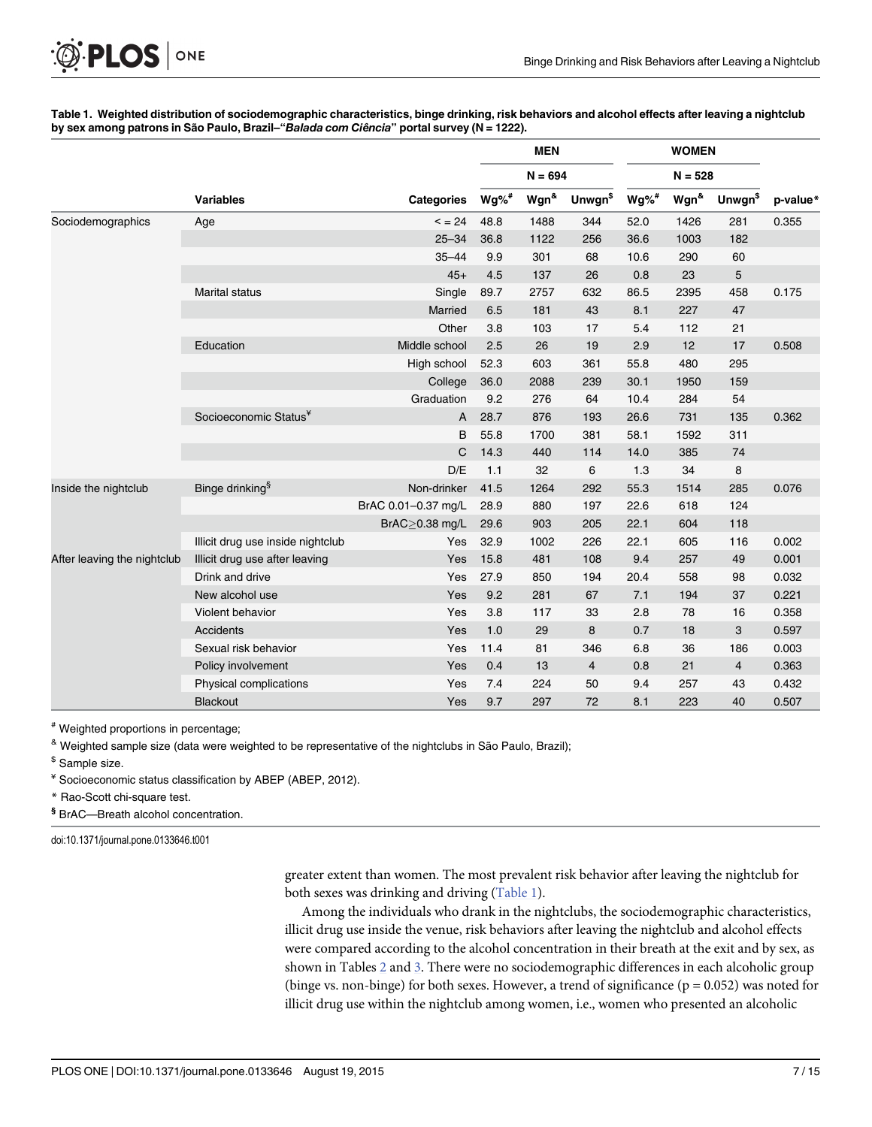#### <span id="page-6-0"></span>Table 1. Weighted distribution of sociodemographic characteristics, binge drinking, risk behaviors and alcohol effects after leaving a nightclub by sex among patrons in São Paulo, Brazil-"Balada com Ciência" portal survey (N = 1222).

|                             |                                   |                     | <b>MEN</b><br>$N = 694$ |                      |                            | <b>WOMEN</b><br>$N = 528$ |                      |                            |          |
|-----------------------------|-----------------------------------|---------------------|-------------------------|----------------------|----------------------------|---------------------------|----------------------|----------------------------|----------|
|                             |                                   |                     |                         |                      |                            |                           |                      |                            |          |
|                             | <b>Variables</b>                  | <b>Categories</b>   | $Wg\%$ <sup>#</sup>     | Wgn <sup>&amp;</sup> | <b>Unwgn</b> <sup>\$</sup> | $Wg\%$ #                  | Wgn <sup>&amp;</sup> | <b>Unwgn</b> <sup>\$</sup> | p-value* |
| Sociodemographics           | Age                               | $3 = 24$            | 48.8                    | 1488                 | 344                        | 52.0                      | 1426                 | 281                        | 0.355    |
|                             |                                   | $25 - 34$           | 36.8                    | 1122                 | 256                        | 36.6                      | 1003                 | 182                        |          |
|                             |                                   | $35 - 44$           | 9.9                     | 301                  | 68                         | 10.6                      | 290                  | 60                         |          |
|                             |                                   | $45+$               | 4.5                     | 137                  | 26                         | 0.8                       | 23                   | 5                          |          |
|                             | <b>Marital status</b>             | Single              | 89.7                    | 2757                 | 632                        | 86.5                      | 2395                 | 458                        | 0.175    |
|                             |                                   | Married             | 6.5                     | 181                  | 43                         | 8.1                       | 227                  | 47                         |          |
|                             |                                   | Other               | 3.8                     | 103                  | 17                         | 5.4                       | 112                  | 21                         |          |
|                             | Education                         | Middle school       | 2.5                     | 26                   | 19                         | 2.9                       | 12                   | 17                         | 0.508    |
|                             |                                   | High school         | 52.3                    | 603                  | 361                        | 55.8                      | 480                  | 295                        |          |
|                             |                                   | College             | 36.0                    | 2088                 | 239                        | 30.1                      | 1950                 | 159                        |          |
|                             |                                   | Graduation          | 9.2                     | 276                  | 64                         | 10.4                      | 284                  | 54                         |          |
|                             | Socioeconomic Status <sup>¥</sup> | A                   | 28.7                    | 876                  | 193                        | 26.6                      | 731                  | 135                        | 0.362    |
|                             |                                   | B                   | 55.8                    | 1700                 | 381                        | 58.1                      | 1592                 | 311                        |          |
|                             |                                   | C                   | 14.3                    | 440                  | 114                        | 14.0                      | 385                  | 74                         |          |
|                             |                                   | D/E                 | 1.1                     | 32                   | 6                          | 1.3                       | 34                   | 8                          |          |
| Inside the nightclub        | Binge drinking <sup>§</sup>       | Non-drinker         | 41.5                    | 1264                 | 292                        | 55.3                      | 1514                 | 285                        | 0.076    |
|                             |                                   | BrAC 0.01-0.37 mg/L | 28.9                    | 880                  | 197                        | 22.6                      | 618                  | 124                        |          |
|                             |                                   | $BrAC > 0.38$ mg/L  | 29.6                    | 903                  | 205                        | 22.1                      | 604                  | 118                        |          |
|                             | Illicit drug use inside nightclub | Yes                 | 32.9                    | 1002                 | 226                        | 22.1                      | 605                  | 116                        | 0.002    |
| After leaving the nightclub | Illicit drug use after leaving    | Yes                 | 15.8                    | 481                  | 108                        | 9.4                       | 257                  | 49                         | 0.001    |
|                             | Drink and drive                   | Yes                 | 27.9                    | 850                  | 194                        | 20.4                      | 558                  | 98                         | 0.032    |
|                             | New alcohol use                   | Yes                 | 9.2                     | 281                  | 67                         | 7.1                       | 194                  | 37                         | 0.221    |
|                             | Violent behavior                  | Yes                 | 3.8                     | 117                  | 33                         | 2.8                       | 78                   | 16                         | 0.358    |
|                             | <b>Accidents</b>                  | Yes                 | 1.0                     | 29                   | 8                          | 0.7                       | 18                   | 3                          | 0.597    |
|                             | Sexual risk behavior              | Yes                 | 11.4                    | 81                   | 346                        | 6.8                       | 36                   | 186                        | 0.003    |
|                             | Policy involvement                | Yes                 | 0.4                     | 13                   | $\overline{4}$             | 0.8                       | 21                   | 4                          | 0.363    |
|                             | Physical complications            | Yes                 | 7.4                     | 224                  | 50                         | 9.4                       | 257                  | 43                         | 0.432    |
|                             | Blackout                          | Yes                 | 9.7                     | 297                  | 72                         | 8.1                       | 223                  | 40                         | 0.507    |

# Weighted proportions in percentage;

& Weighted sample size (data were weighted to be representative of the nightclubs in São Paulo, Brazil);

 $$$  Sample size.

¥ Socioeconomic status classification by ABEP (ABEP, 2012).

\* Rao-Scott chi-square test.

§ BrAC—Breath alcohol concentration.

doi:10.1371/journal.pone.0133646.t001

greater extent than women. The most prevalent risk behavior after leaving the nightclub for both sexes was drinking and driving (Table 1).

Among the individuals who drank in the nightclubs, the sociodemographic characteristics, illicit drug use inside the venue, risk behaviors after leaving the nightclub and alcohol effects were compared according to the alcohol concentration in their breath at the exit and by sex, as shown in Tables [2](#page-7-0) and [3.](#page-8-0) There were no sociodemographic differences in each alcoholic group (binge vs. non-binge) for both sexes. However, a trend of significance ( $p = 0.052$ ) was noted for illicit drug use within the nightclub among women, i.e., women who presented an alcoholic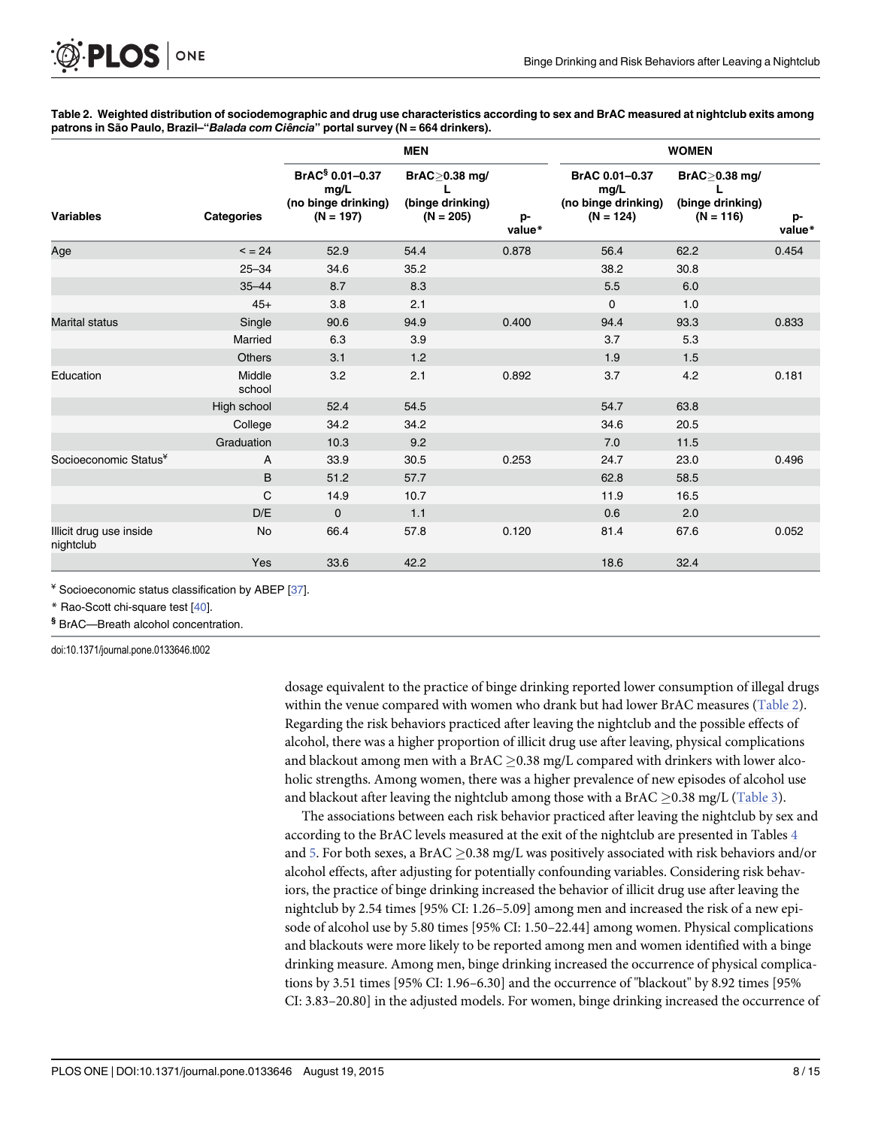[Table 2.](#page-6-0) Weighted distribution of sociodemographic and drug use characteristics according to sex and BrAC measured at nightclub exits among patrons in São Paulo, Brazil–"Balada com Ciência" portal survey (N = 664 drinkers).

|                                      |                   |                                                                 | <b>MEN</b>                                              |              |                                                              | <b>WOMEN</b>                                                 |              |
|--------------------------------------|-------------------|-----------------------------------------------------------------|---------------------------------------------------------|--------------|--------------------------------------------------------------|--------------------------------------------------------------|--------------|
| <b>Variables</b>                     | <b>Categories</b> | $BrAC§ 0.01-0.37$<br>mg/L<br>(no binge drinking)<br>$(N = 197)$ | BrAC $\geq$ 0.38 mg/<br>(binge drinking)<br>$(N = 205)$ | p-<br>value* | BrAC 0.01-0.37<br>mg/L<br>(no binge drinking)<br>$(N = 124)$ | $BrAC \geq 0.38$ mg/<br>L<br>(binge drinking)<br>$(N = 116)$ | p-<br>value* |
| Age                                  | $\leq$ = 24       | 52.9                                                            | 54.4                                                    | 0.878        | 56.4                                                         | 62.2                                                         | 0.454        |
|                                      | $25 - 34$         | 34.6                                                            | 35.2                                                    |              | 38.2                                                         | 30.8                                                         |              |
|                                      | $35 - 44$         | 8.7                                                             | 8.3                                                     |              | 5.5                                                          | 6.0                                                          |              |
|                                      | $45+$             | 3.8                                                             | 2.1                                                     |              | 0                                                            | 1.0                                                          |              |
| <b>Marital status</b>                | Single            | 90.6                                                            | 94.9                                                    | 0.400        | 94.4                                                         | 93.3                                                         | 0.833        |
|                                      | Married           | 6.3                                                             | 3.9                                                     |              | 3.7                                                          | 5.3                                                          |              |
|                                      | <b>Others</b>     | 3.1                                                             | 1.2                                                     |              | 1.9                                                          | 1.5                                                          |              |
| Education                            | Middle<br>school  | 3.2                                                             | 2.1                                                     | 0.892        | 3.7                                                          | 4.2                                                          | 0.181        |
|                                      | High school       | 52.4                                                            | 54.5                                                    |              | 54.7                                                         | 63.8                                                         |              |
|                                      | College           | 34.2                                                            | 34.2                                                    |              | 34.6                                                         | 20.5                                                         |              |
|                                      | Graduation        | 10.3                                                            | 9.2                                                     |              | 7.0                                                          | 11.5                                                         |              |
| Socioeconomic Status <sup>¥</sup>    | A                 | 33.9                                                            | 30.5                                                    | 0.253        | 24.7                                                         | 23.0                                                         | 0.496        |
|                                      | B                 | 51.2                                                            | 57.7                                                    |              | 62.8                                                         | 58.5                                                         |              |
|                                      | C                 | 14.9                                                            | 10.7                                                    |              | 11.9                                                         | 16.5                                                         |              |
|                                      | D/E               | $\mathbf{0}$                                                    | 1.1                                                     |              | 0.6                                                          | 2.0                                                          |              |
| Illicit drug use inside<br>nightclub | No                | 66.4                                                            | 57.8                                                    | 0.120        | 81.4                                                         | 67.6                                                         | 0.052        |
|                                      | Yes               | 33.6                                                            | 42.2                                                    |              | 18.6                                                         | 32.4                                                         |              |

¥ Socioeconomic status classification by ABEP [\[37](#page-13-0)].

ONE

<span id="page-7-0"></span>**PLOS I** 

\* Rao-Scott chi-square test [\[40](#page-13-0)].

§ BrAC—Breath alcohol concentration.

doi:10.1371/journal.pone.0133646.t002

dosage equivalent to the practice of binge drinking reported lower consumption of illegal drugs within the venue compared with women who drank but had lower BrAC measures (Table 2). Regarding the risk behaviors practiced after leaving the nightclub and the possible effects of alcohol, there was a higher proportion of illicit drug use after leaving, physical complications and blackout among men with a  $BrAC > 0.38$  mg/L compared with drinkers with lower alcoholic strengths. Among women, there was a higher prevalence of new episodes of alcohol use and blackout after leaving the nightclub among those with a BrAC  $\geq$ 0.38 mg/L [\(Table 3\)](#page-8-0).

The associations between each risk behavior practiced after leaving the nightclub by sex and according to the BrAC levels measured at the exit of the nightclub are presented in Tables [4](#page-8-0) and  $5$ . For both sexes, a BrAC  $\geq$ 0.38 mg/L was positively associated with risk behaviors and/or alcohol effects, after adjusting for potentially confounding variables. Considering risk behaviors, the practice of binge drinking increased the behavior of illicit drug use after leaving the nightclub by 2.54 times [95% CI: 1.26–5.09] among men and increased the risk of a new episode of alcohol use by 5.80 times [95% CI: 1.50–22.44] among women. Physical complications and blackouts were more likely to be reported among men and women identified with a binge drinking measure. Among men, binge drinking increased the occurrence of physical complications by 3.51 times [95% CI: 1.96–6.30] and the occurrence of "blackout" by 8.92 times [95% CI: 3.83–20.80] in the adjusted models. For women, binge drinking increased the occurrence of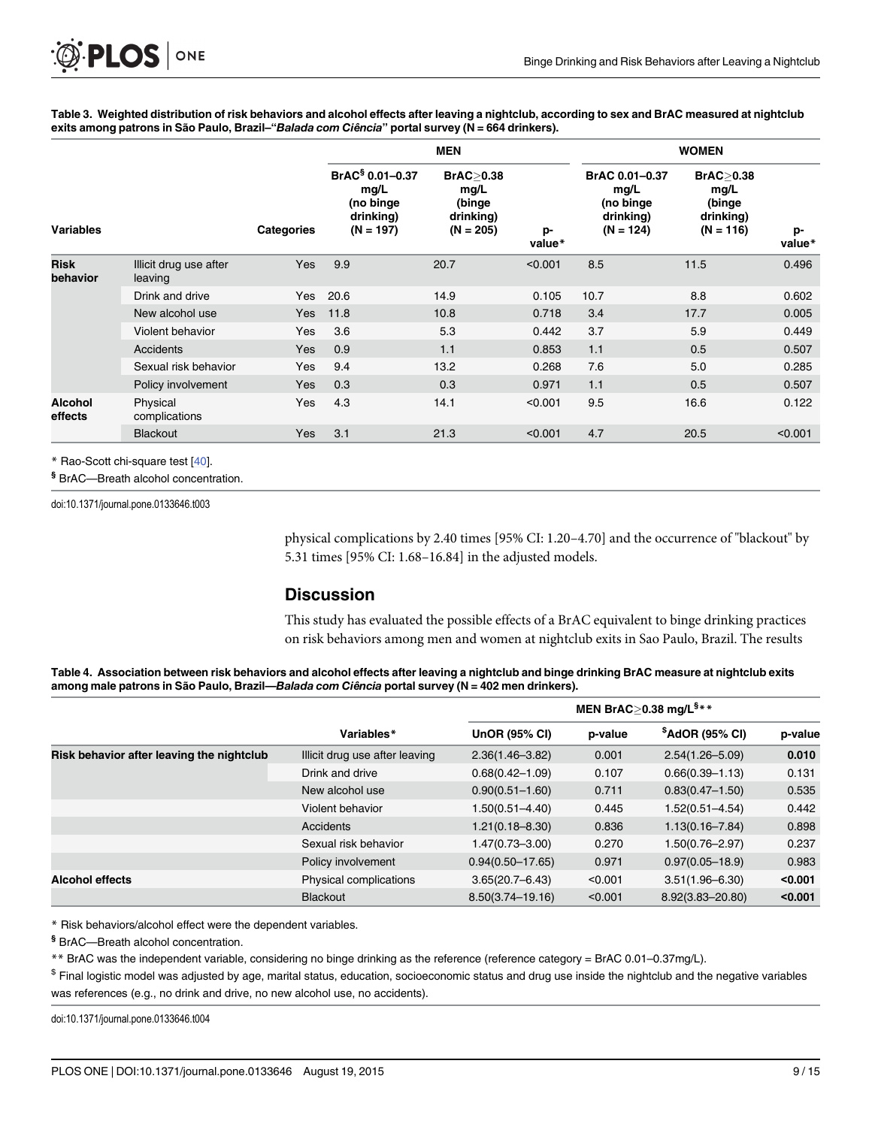[Table 3.](#page-6-0) Weighted distribution of risk behaviors and alcohol effects after leaving a nightclub, according to sex and BrAC measured at nightclub exits among patrons in São Paulo, Brazil-"Balada com Ciência" portal survey (N = 664 drinkers).

|                           |                                   |                   | <b>MEN</b>                                                                   |                                                           |              | <b>WOMEN</b>                                                    |                                                                   |              |
|---------------------------|-----------------------------------|-------------------|------------------------------------------------------------------------------|-----------------------------------------------------------|--------------|-----------------------------------------------------------------|-------------------------------------------------------------------|--------------|
| <b>Variables</b>          |                                   | <b>Categories</b> | BrAC <sup>§</sup> 0.01-0.37<br>mg/L<br>(no binge<br>drinking)<br>$(N = 197)$ | BrAC > 0.38<br>mg/L<br>(binge<br>drinking)<br>$(N = 205)$ | p-<br>value* | BrAC 0.01-0.37<br>mg/L<br>(no binge<br>drinking)<br>$(N = 124)$ | <b>BrAC&gt;0.38</b><br>mg/L<br>(binge<br>drinking)<br>$(N = 116)$ | p-<br>value* |
| <b>Risk</b><br>behavior   | Illicit drug use after<br>leaving | Yes               | 9.9                                                                          | 20.7                                                      | < 0.001      | 8.5                                                             | 11.5                                                              | 0.496        |
|                           | Drink and drive                   | Yes               | 20.6                                                                         | 14.9                                                      | 0.105        | 10.7                                                            | 8.8                                                               | 0.602        |
|                           | New alcohol use                   | <b>Yes</b>        | 11.8                                                                         | 10.8                                                      | 0.718        | 3.4                                                             | 17.7                                                              | 0.005        |
|                           | Violent behavior                  | Yes               | 3.6                                                                          | 5.3                                                       | 0.442        | 3.7                                                             | 5.9                                                               | 0.449        |
|                           | Accidents                         | <b>Yes</b>        | 0.9                                                                          | 1.1                                                       | 0.853        | 1.1                                                             | 0.5                                                               | 0.507        |
|                           | Sexual risk behavior              | Yes               | 9.4                                                                          | 13.2                                                      | 0.268        | 7.6                                                             | 5.0                                                               | 0.285        |
|                           | Policy involvement                | Yes               | 0.3                                                                          | 0.3                                                       | 0.971        | 1.1                                                             | 0.5                                                               | 0.507        |
| <b>Alcohol</b><br>effects | Physical<br>complications         | Yes               | 4.3                                                                          | 14.1                                                      | < 0.001      | 9.5                                                             | 16.6                                                              | 0.122        |
|                           | <b>Blackout</b>                   | <b>Yes</b>        | 3.1                                                                          | 21.3                                                      | < 0.001      | 4.7                                                             | 20.5                                                              | < 0.001      |

\* Rao-Scott chi-square test [\[40](#page-13-0)].

§ BrAC—Breath alcohol concentration.

<span id="page-8-0"></span>PLOS ONE

doi:10.1371/journal.pone.0133646.t003

physical complications by 2.40 times [95% CI: 1.20–4.70] and the occurrence of "blackout" by 5.31 times [95% CI: 1.68–16.84] in the adjusted models.

# **Discussion**

This study has evaluated the possible effects of a BrAC equivalent to binge drinking practices on risk behaviors among men and women at nightclub exits in Sao Paulo, Brazil. The results

| Table 4. Association between risk behaviors and alcohol effects after leaving a nightclub and binge drinking BrAC measure at nightclub exits |  |
|----------------------------------------------------------------------------------------------------------------------------------------------|--|
| among male patrons in São Paulo, Brazil—Balada com Ciência portal survey (N = 402 men drinkers).                                             |  |

|                                           | Variables*                     | <b>UnOR (95% CI)</b> | p-value | $$A$ dOR (95% CI)   | p-value |
|-------------------------------------------|--------------------------------|----------------------|---------|---------------------|---------|
| Risk behavior after leaving the nightclub | Illicit drug use after leaving | $2.36(1.46 - 3.82)$  | 0.001   | $2.54(1.26 - 5.09)$ | 0.010   |
|                                           | Drink and drive                | $0.68(0.42 - 1.09)$  | 0.107   | $0.66(0.39 - 1.13)$ | 0.131   |
|                                           | New alcohol use                | $0.90(0.51 - 1.60)$  | 0.711   | $0.83(0.47 - 1.50)$ | 0.535   |
|                                           | Violent behavior               | 1.50(0.51-4.40)      | 0.445   | $1.52(0.51 - 4.54)$ | 0.442   |
|                                           | Accidents                      | $1.21(0.18 - 8.30)$  | 0.836   | $1.13(0.16 - 7.84)$ | 0.898   |
|                                           | Sexual risk behavior           | $1.47(0.73 - 3.00)$  | 0.270   | $1.50(0.76 - 2.97)$ | 0.237   |
|                                           | Policy involvement             | $0.94(0.50 - 17.65)$ | 0.971   | $0.97(0.05 - 18.9)$ | 0.983   |
| <b>Alcohol effects</b>                    | Physical complications         | $3.65(20.7 - 6.43)$  | < 0.001 | $3.51(1.96 - 6.30)$ | < 0.001 |
|                                           | <b>Blackout</b>                | $8.50(3.74 - 19.16)$ | < 0.001 | 8.92(3.83-20.80)    | < 0.001 |

\* Risk behaviors/alcohol effect were the dependent variables.

§ BrAC—Breath alcohol concentration.

\*\* BrAC was the independent variable, considering no binge drinking as the reference (reference category = BrAC 0.01–0.37mg/L).

 $$$  Final logistic model was adjusted by age, marital status, education, socioeconomic status and drug use inside the nightclub and the negative variables was references (e.g., no drink and drive, no new alcohol use, no accidents).

doi:10.1371/journal.pone.0133646.t004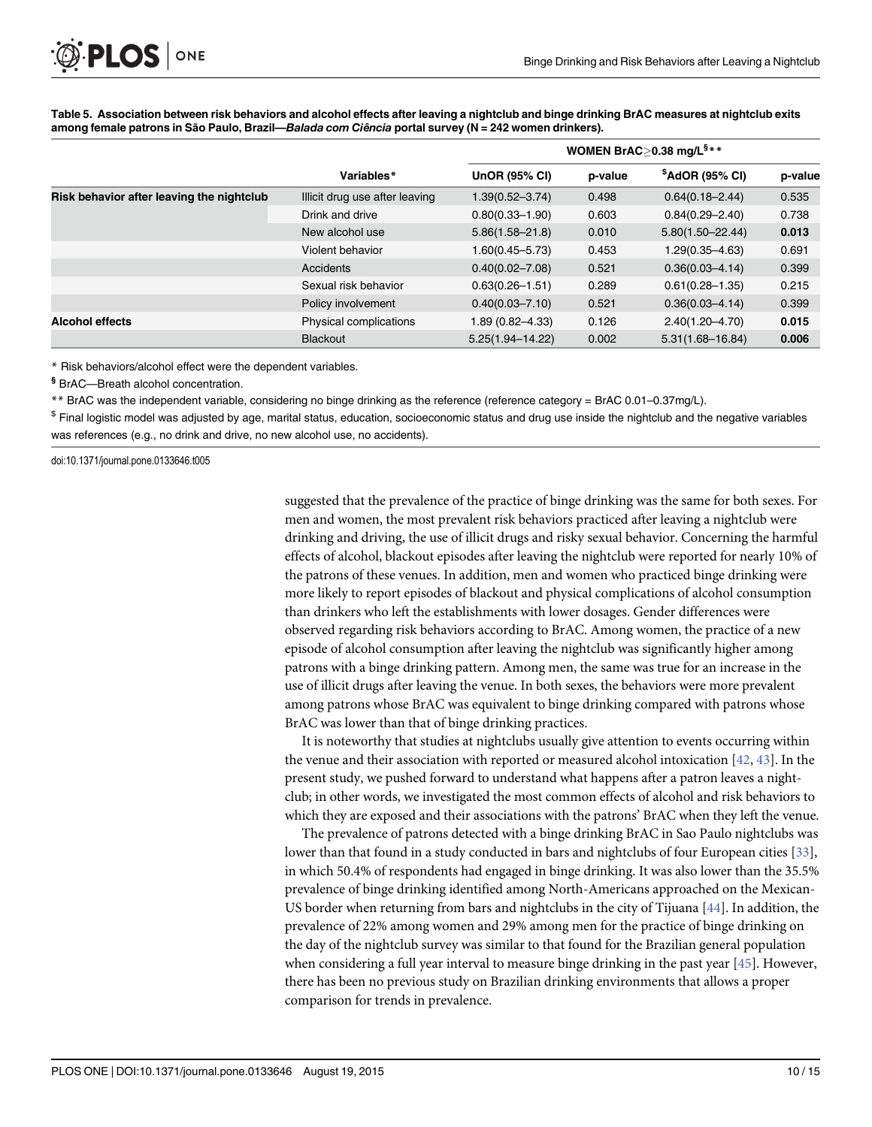|                                           |                                |                      | WOMEN BrAC>0.38 mg/ $L^{s_{**}}$ |                      |         |
|-------------------------------------------|--------------------------------|----------------------|----------------------------------|----------------------|---------|
|                                           | Variables*                     | <b>UnOR (95% CI)</b> | p-value                          | $$A$ dOR (95% CI)    | p-value |
| Risk behavior after leaving the nightclub | Illicit drug use after leaving | $1.39(0.52 - 3.74)$  | 0.498                            | $0.64(0.18 - 2.44)$  | 0.535   |
|                                           | Drink and drive                | $0.80(0.33 - 1.90)$  | 0.603                            | $0.84(0.29 - 2.40)$  | 0.738   |
|                                           | New alcohol use                | $5.86(1.58 - 21.8)$  | 0.010                            | $5.80(1.50 - 22.44)$ | 0.013   |
|                                           | Violent behavior               | 1.60(0.45-5.73)      | 0.453                            | $1.29(0.35 - 4.63)$  | 0.691   |
|                                           | Accidents                      | $0.40(0.02 - 7.08)$  | 0.521                            | $0.36(0.03 - 4.14)$  | 0.399   |
|                                           | Sexual risk behavior           | $0.63(0.26 - 1.51)$  | 0.289                            | $0.61(0.28 - 1.35)$  | 0.215   |
|                                           | Policy involvement             | $0.40(0.03 - 7.10)$  | 0.521                            | $0.36(0.03 - 4.14)$  | 0.399   |
| <b>Alcohol effects</b>                    | Physical complications         | 1.89 (0.82-4.33)     | 0.126                            | $2.40(1.20 - 4.70)$  | 0.015   |
|                                           | <b>Blackout</b>                | $5.25(1.94 - 14.22)$ | 0.002                            | $5.31(1.68 - 16.84)$ | 0.006   |

<span id="page-9-0"></span>[Table 5.](#page-7-0) Association between risk behaviors and alcohol effects after leaving a nightclub and binge drinking BrAC measures at nightclub exits among female patrons in São Paulo, Brazil—Balada com Ciência portal survey (N = 242 women drinkers).

\* Risk behaviors/alcohol effect were the dependent variables.

§ BrAC—Breath alcohol concentration.

\*\* BrAC was the independent variable, considering no binge drinking as the reference (reference category = BrAC 0.01–0.37mg/L).

\$ Final logistic model was adjusted by age, marital status, education, socioeconomic status and drug use inside the nightclub and the negative variables was references (e.g., no drink and drive, no new alcohol use, no accidents).

doi:10.1371/journal.pone.0133646.t005

suggested that the prevalence of the practice of binge drinking was the same for both sexes. For men and women, the most prevalent risk behaviors practiced after leaving a nightclub were drinking and driving, the use of illicit drugs and risky sexual behavior. Concerning the harmful effects of alcohol, blackout episodes after leaving the nightclub were reported for nearly 10% of the patrons of these venues. In addition, men and women who practiced binge drinking were more likely to report episodes of blackout and physical complications of alcohol consumption than drinkers who left the establishments with lower dosages. Gender differences were observed regarding risk behaviors according to BrAC. Among women, the practice of a new episode of alcohol consumption after leaving the nightclub was significantly higher among patrons with a binge drinking pattern. Among men, the same was true for an increase in the use of illicit drugs after leaving the venue. In both sexes, the behaviors were more prevalent among patrons whose BrAC was equivalent to binge drinking compared with patrons whose BrAC was lower than that of binge drinking practices.

It is noteworthy that studies at nightclubs usually give attention to events occurring within the venue and their association with reported or measured alcohol intoxication  $[42, 43]$  $[42, 43]$  $[42, 43]$ . In the present study, we pushed forward to understand what happens after a patron leaves a nightclub; in other words, we investigated the most common effects of alcohol and risk behaviors to which they are exposed and their associations with the patrons' BrAC when they left the venue.

The prevalence of patrons detected with a binge drinking BrAC in Sao Paulo nightclubs was lower than that found in a study conducted in bars and nightclubs of four European cities [[33\]](#page-13-0), in which 50.4% of respondents had engaged in binge drinking. It was also lower than the 35.5% prevalence of binge drinking identified among North-Americans approached on the Mexican-US border when returning from bars and nightclubs in the city of Tijuana  $[44]$  $[44]$  $[44]$ . In addition, the prevalence of 22% among women and 29% among men for the practice of binge drinking on the day of the nightclub survey was similar to that found for the Brazilian general population when considering a full year interval to measure binge drinking in the past year [\[45\]](#page-13-0). However, there has been no previous study on Brazilian drinking environments that allows a proper comparison for trends in prevalence.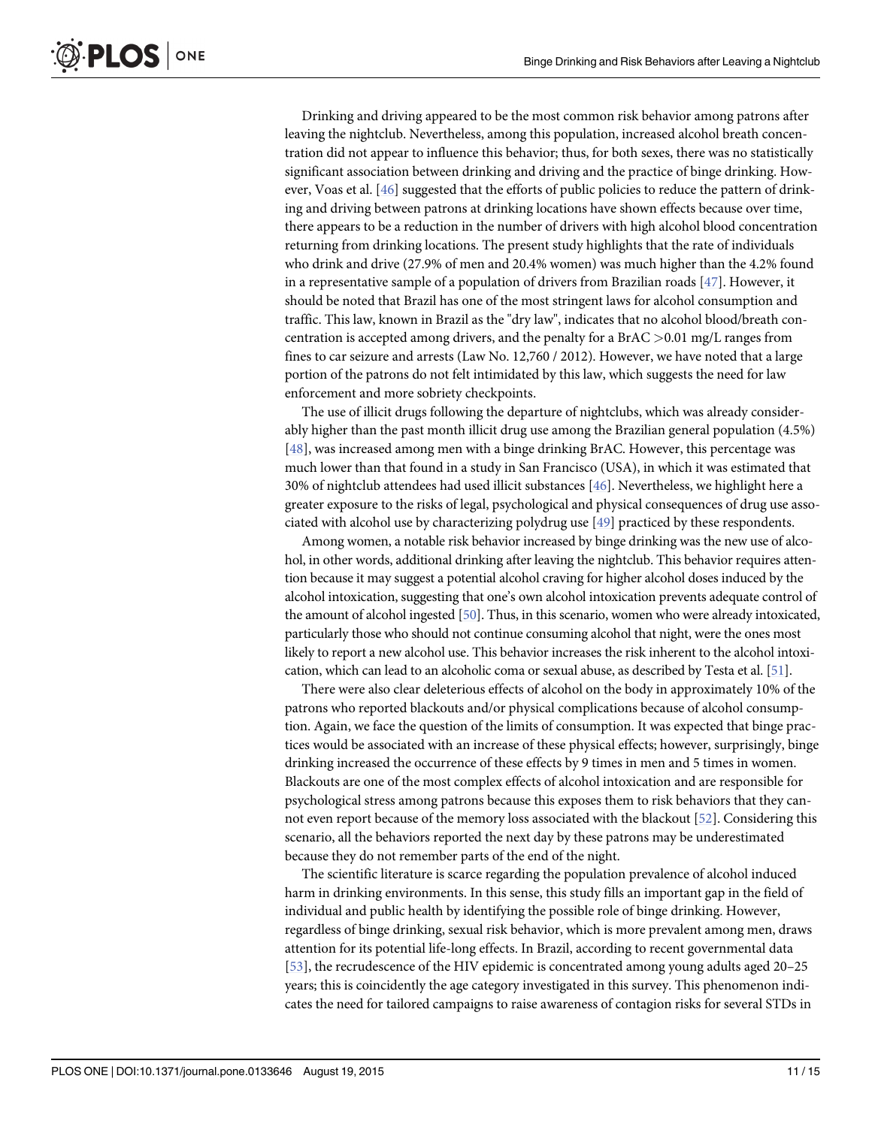<span id="page-10-0"></span>Drinking and driving appeared to be the most common risk behavior among patrons after leaving the nightclub. Nevertheless, among this population, increased alcohol breath concentration did not appear to influence this behavior; thus, for both sexes, there was no statistically significant association between drinking and driving and the practice of binge drinking. However, Voas et al. [\[46\]](#page-13-0) suggested that the efforts of public policies to reduce the pattern of drinking and driving between patrons at drinking locations have shown effects because over time, there appears to be a reduction in the number of drivers with high alcohol blood concentration returning from drinking locations. The present study highlights that the rate of individuals who drink and drive (27.9% of men and 20.4% women) was much higher than the 4.2% found in a representative sample of a population of drivers from Brazilian roads  $[47]$  $[47]$  $[47]$ . However, it should be noted that Brazil has one of the most stringent laws for alcohol consumption and traffic. This law, known in Brazil as the "dry law", indicates that no alcohol blood/breath concentration is accepted among drivers, and the penalty for a  $BrAC > 0.01$  mg/L ranges from fines to car seizure and arrests (Law No. 12,760 / 2012). However, we have noted that a large portion of the patrons do not felt intimidated by this law, which suggests the need for law enforcement and more sobriety checkpoints.

The use of illicit drugs following the departure of nightclubs, which was already considerably higher than the past month illicit drug use among the Brazilian general population (4.5%) [\[48](#page-14-0)], was increased among men with a binge drinking BrAC. However, this percentage was much lower than that found in a study in San Francisco (USA), in which it was estimated that 30% of nightclub attendees had used illicit substances [[46](#page-13-0)]. Nevertheless, we highlight here a greater exposure to the risks of legal, psychological and physical consequences of drug use associated with alcohol use by characterizing polydrug use [\[49\]](#page-14-0) practiced by these respondents.

Among women, a notable risk behavior increased by binge drinking was the new use of alcohol, in other words, additional drinking after leaving the nightclub. This behavior requires attention because it may suggest a potential alcohol craving for higher alcohol doses induced by the alcohol intoxication, suggesting that one's own alcohol intoxication prevents adequate control of the amount of alcohol ingested [\[50\]](#page-14-0). Thus, in this scenario, women who were already intoxicated, particularly those who should not continue consuming alcohol that night, were the ones most likely to report a new alcohol use. This behavior increases the risk inherent to the alcohol intoxication, which can lead to an alcoholic coma or sexual abuse, as described by Testa et al. [[51\]](#page-14-0).

There were also clear deleterious effects of alcohol on the body in approximately 10% of the patrons who reported blackouts and/or physical complications because of alcohol consumption. Again, we face the question of the limits of consumption. It was expected that binge practices would be associated with an increase of these physical effects; however, surprisingly, binge drinking increased the occurrence of these effects by 9 times in men and 5 times in women. Blackouts are one of the most complex effects of alcohol intoxication and are responsible for psychological stress among patrons because this exposes them to risk behaviors that they cannot even report because of the memory loss associated with the blackout [[52](#page-14-0)]. Considering this scenario, all the behaviors reported the next day by these patrons may be underestimated because they do not remember parts of the end of the night.

The scientific literature is scarce regarding the population prevalence of alcohol induced harm in drinking environments. In this sense, this study fills an important gap in the field of individual and public health by identifying the possible role of binge drinking. However, regardless of binge drinking, sexual risk behavior, which is more prevalent among men, draws attention for its potential life-long effects. In Brazil, according to recent governmental data [\[53](#page-14-0)], the recrudescence of the HIV epidemic is concentrated among young adults aged 20–25 years; this is coincidently the age category investigated in this survey. This phenomenon indicates the need for tailored campaigns to raise awareness of contagion risks for several STDs in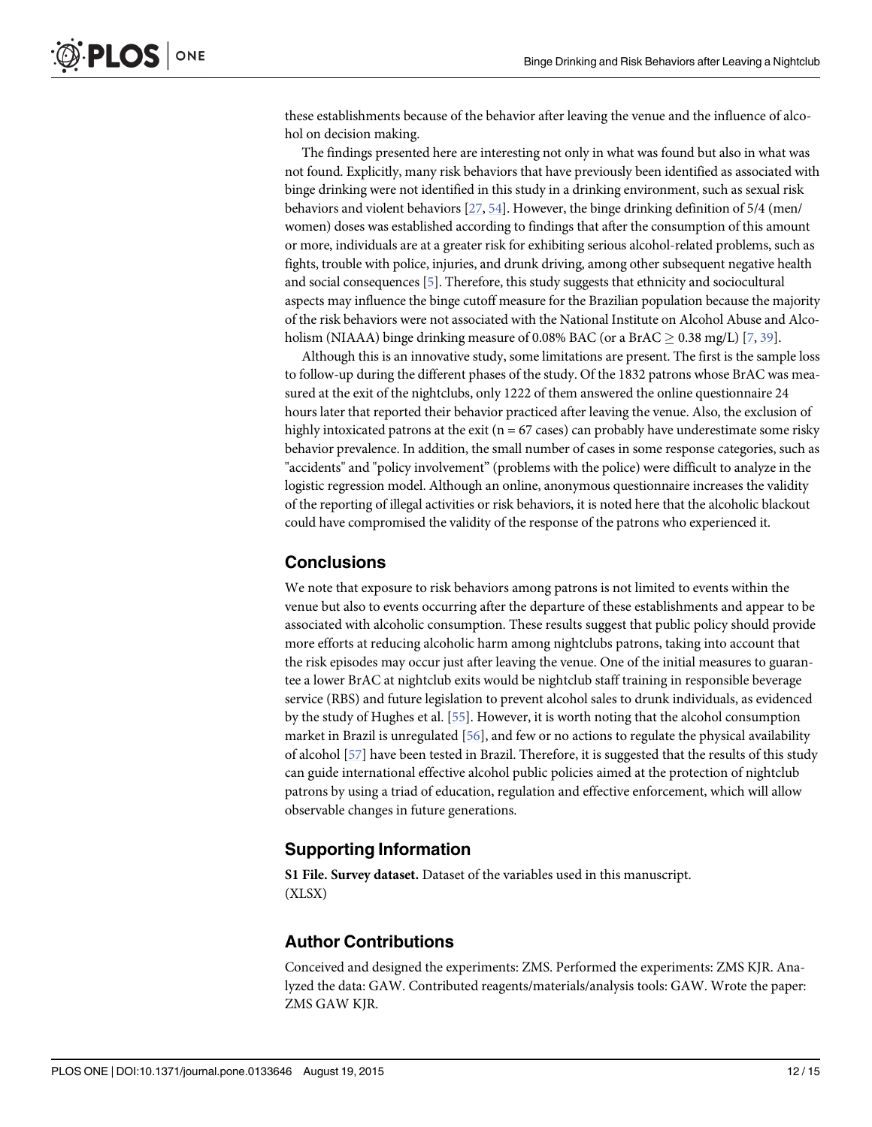<span id="page-11-0"></span>these establishments because of the behavior after leaving the venue and the influence of alcohol on decision making.

The findings presented here are interesting not only in what was found but also in what was not found. Explicitly, many risk behaviors that have previously been identified as associated with binge drinking were not identified in this study in a drinking environment, such as sexual risk behaviors and violent behaviors  $[27, 54]$  $[27, 54]$  $[27, 54]$ . However, the binge drinking definition of 5/4 (men/ women) doses was established according to findings that after the consumption of this amount or more, individuals are at a greater risk for exhibiting serious alcohol-related problems, such as fights, trouble with police, injuries, and drunk driving, among other subsequent negative health and social consequences  $[5]$ . Therefore, this study suggests that ethnicity and sociocultural aspects may influence the binge cutoff measure for the Brazilian population because the majority of the risk behaviors were not associated with the National Institute on Alcohol Abuse and Alcoholism (NIAAA) binge drinking measure of 0.08% BAC (or a BrAC  $>$  0.38 mg/L) [[7](#page-12-0), [39](#page-13-0)].

Although this is an innovative study, some limitations are present. The first is the sample loss to follow-up during the different phases of the study. Of the 1832 patrons whose BrAC was measured at the exit of the nightclubs, only 1222 of them answered the online questionnaire 24 hours later that reported their behavior practiced after leaving the venue. Also, the exclusion of highly intoxicated patrons at the exit ( $n = 67$  cases) can probably have underestimate some risky behavior prevalence. In addition, the small number of cases in some response categories, such as "accidents" and "policy involvement" (problems with the police) were difficult to analyze in the logistic regression model. Although an online, anonymous questionnaire increases the validity of the reporting of illegal activities or risk behaviors, it is noted here that the alcoholic blackout could have compromised the validity of the response of the patrons who experienced it.

# **Conclusions**

We note that exposure to risk behaviors among patrons is not limited to events within the venue but also to events occurring after the departure of these establishments and appear to be associated with alcoholic consumption. These results suggest that public policy should provide more efforts at reducing alcoholic harm among nightclubs patrons, taking into account that the risk episodes may occur just after leaving the venue. One of the initial measures to guarantee a lower BrAC at nightclub exits would be nightclub staff training in responsible beverage service (RBS) and future legislation to prevent alcohol sales to drunk individuals, as evidenced by the study of Hughes et al. [\[55\]](#page-14-0). However, it is worth noting that the alcohol consumption market in Brazil is unregulated [[56](#page-14-0)], and few or no actions to regulate the physical availability of alcohol [[57](#page-14-0)] have been tested in Brazil. Therefore, it is suggested that the results of this study can guide international effective alcohol public policies aimed at the protection of nightclub patrons by using a triad of education, regulation and effective enforcement, which will allow observable changes in future generations.

#### Supporting Information

[S1 File.](http://www.plosone.org/article/fetchSingleRepresentation.action?uri=info:doi/10.1371/journal.pone.0133646.s001) Survey dataset. Dataset of the variables used in this manuscript. (XLSX)

#### Author Contributions

Conceived and designed the experiments: ZMS. Performed the experiments: ZMS KJR. Analyzed the data: GAW. Contributed reagents/materials/analysis tools: GAW. Wrote the paper: ZMS GAW KJR.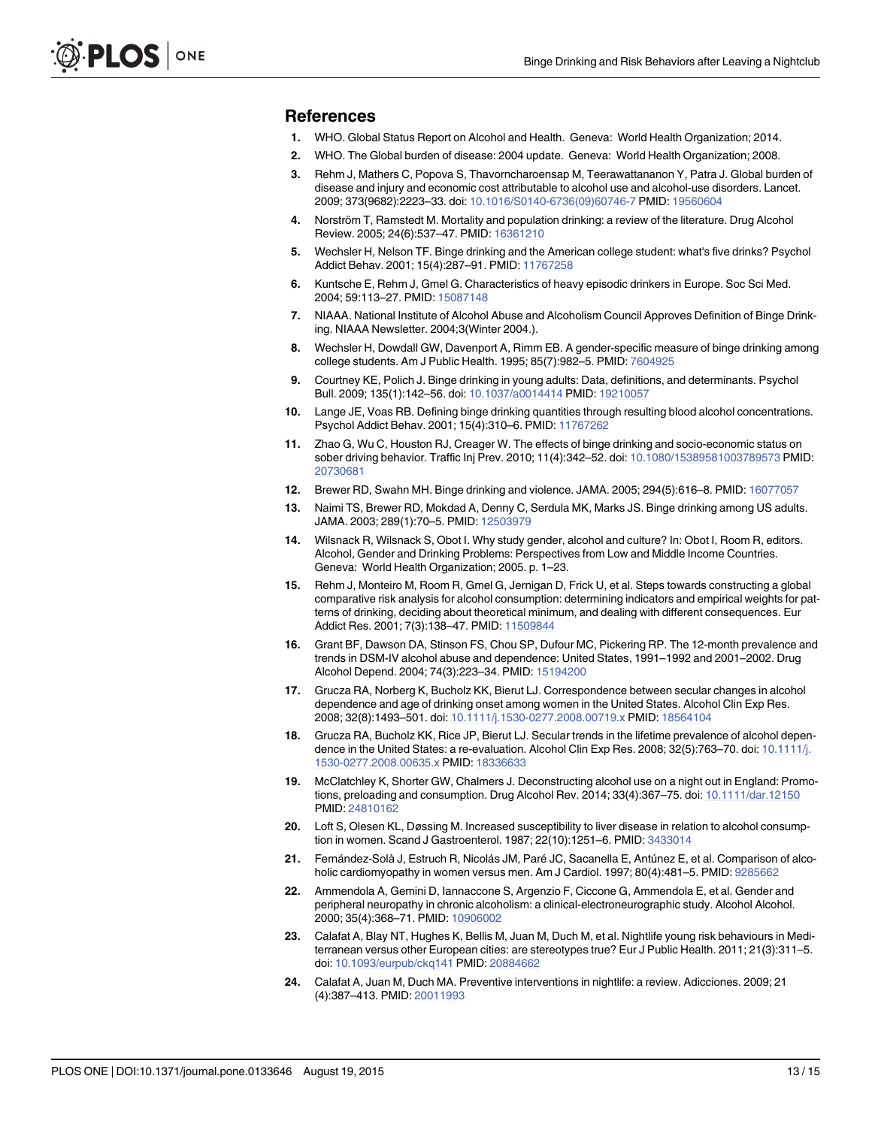#### <span id="page-12-0"></span>References

- [1.](#page-1-0) WHO. Global Status Report on Alcohol and Health. Geneva: World Health Organization; 2014.
- [2.](#page-1-0) WHO. The Global burden of disease: 2004 update. Geneva: World Health Organization; 2008.
- [3.](#page-1-0) Rehm J, Mathers C, Popova S, Thavorncharoensap M, Teerawattananon Y, Patra J. Global burden of disease and injury and economic cost attributable to alcohol use and alcohol-use disorders. Lancet. 2009; 373(9682):2223–33. doi: [10.1016/S0140-6736\(09\)60746-7](http://dx.doi.org/10.1016/S0140-6736(09)60746-7) PMID: [19560604](http://www.ncbi.nlm.nih.gov/pubmed/19560604)
- [4.](#page-1-0) Norström T, Ramstedt M. Mortality and population drinking: a review of the literature. Drug Alcohol Review. 2005; 24(6):537–47. PMID: [16361210](http://www.ncbi.nlm.nih.gov/pubmed/16361210)
- [5.](#page-1-0) Wechsler H, Nelson TF. Binge drinking and the American college student: what's five drinks? Psychol Addict Behav. 2001; 15(4):287-91. PMID: [11767258](http://www.ncbi.nlm.nih.gov/pubmed/11767258)
- [6.](#page-1-0) Kuntsche E, Rehm J, Gmel G. Characteristics of heavy episodic drinkers in Europe. Soc Sci Med. 2004; 59:113-27. PMID: [15087148](http://www.ncbi.nlm.nih.gov/pubmed/15087148)
- [7.](#page-1-0) NIAAA. National Institute of Alcohol Abuse and Alcoholism Council Approves Definition of Binge Drinking. NIAAA Newsletter. 2004;3(Winter 2004.).
- [8.](#page-1-0) Wechsler H, Dowdall GW, Davenport A, Rimm EB. A gender-specific measure of binge drinking among college students. Am J Public Health. 1995; 85(7):982–5. PMID: [7604925](http://www.ncbi.nlm.nih.gov/pubmed/7604925)
- [9.](#page-1-0) Courtney KE, Polich J. Binge drinking in young adults: Data, definitions, and determinants. Psychol Bull. 2009; 135(1):142–56. doi: [10.1037/a0014414](http://dx.doi.org/10.1037/a0014414) PMID: [19210057](http://www.ncbi.nlm.nih.gov/pubmed/19210057)
- [10.](#page-1-0) Lange JE, Voas RB. Defining binge drinking quantities through resulting blood alcohol concentrations. Psychol Addict Behav. 2001; 15(4):310-6. PMID: [11767262](http://www.ncbi.nlm.nih.gov/pubmed/11767262)
- [11.](#page-1-0) Zhao G, Wu C, Houston RJ, Creager W. The effects of binge drinking and socio-economic status on sober driving behavior. Traffic Inj Prev. 2010; 11(4):342–52. doi: [10.1080/15389581003789573](http://dx.doi.org/10.1080/15389581003789573) PMID: [20730681](http://www.ncbi.nlm.nih.gov/pubmed/20730681)
- [12.](#page-1-0) Brewer RD, Swahn MH. Binge drinking and violence. JAMA. 2005; 294(5):616–8. PMID: [16077057](http://www.ncbi.nlm.nih.gov/pubmed/16077057)
- [13.](#page-1-0) Naimi TS, Brewer RD, Mokdad A, Denny C, Serdula MK, Marks JS. Binge drinking among US adults. JAMA. 2003; 289(1):70–5. PMID: [12503979](http://www.ncbi.nlm.nih.gov/pubmed/12503979)
- [14.](#page-1-0) Wilsnack R, Wilsnack S, Obot I. Why study gender, alcohol and culture? In: Obot I, Room R, editors. Alcohol, Gender and Drinking Problems: Perspectives from Low and Middle Income Countries. Geneva: World Health Organization; 2005. p. 1–23.
- [15.](#page-1-0) Rehm J, Monteiro M, Room R, Gmel G, Jernigan D, Frick U, et al. Steps towards constructing a global comparative risk analysis for alcohol consumption: determining indicators and empirical weights for patterns of drinking, deciding about theoretical minimum, and dealing with different consequences. Eur Addict Res. 2001; 7(3):138-47. PMID: [11509844](http://www.ncbi.nlm.nih.gov/pubmed/11509844)
- 16. Grant BF, Dawson DA, Stinson FS, Chou SP, Dufour MC, Pickering RP. The 12-month prevalence and trends in DSM-IV alcohol abuse and dependence: United States, 1991–1992 and 2001–2002. Drug Alcohol Depend. 2004; 74(3):223–34. PMID: [15194200](http://www.ncbi.nlm.nih.gov/pubmed/15194200)
- 17. Grucza RA, Norberg K, Bucholz KK, Bierut LJ. Correspondence between secular changes in alcohol dependence and age of drinking onset among women in the United States. Alcohol Clin Exp Res. 2008; 32(8):1493–501. doi: [10.1111/j.1530-0277.2008.00719.x](http://dx.doi.org/10.1111/j.1530-0277.2008.00719.x) PMID: [18564104](http://www.ncbi.nlm.nih.gov/pubmed/18564104)
- 18. Grucza RA, Bucholz KK, Rice JP, Bierut LJ. Secular trends in the lifetime prevalence of alcohol depen-dence in the United States: a re-evaluation. Alcohol Clin Exp Res. 2008; 32(5):763-70. doi: [10.1111/j.](http://dx.doi.org/10.1111/j.1530-0277.2008.00635.x) [1530-0277.2008.00635.x](http://dx.doi.org/10.1111/j.1530-0277.2008.00635.x) PMID: [18336633](http://www.ncbi.nlm.nih.gov/pubmed/18336633)
- [19.](#page-1-0) McClatchley K, Shorter GW, Chalmers J. Deconstructing alcohol use on a night out in England: Promo-tions, preloading and consumption. Drug Alcohol Rev. 2014; 33(4):367-75. doi: [10.1111/dar.12150](http://dx.doi.org/10.1111/dar.12150) PMID: [24810162](http://www.ncbi.nlm.nih.gov/pubmed/24810162)
- [20.](#page-1-0) Loft S, Olesen KL, Døssing M. Increased susceptibility to liver disease in relation to alcohol consumption in women. Scand J Gastroenterol. 1987; 22(10):1251–6. PMID: [3433014](http://www.ncbi.nlm.nih.gov/pubmed/3433014)
- [21.](#page-1-0) Fernández-Solà J, Estruch R, Nicolás JM, Paré JC, Sacanella E, Antúnez E, et al. Comparison of alcoholic cardiomyopathy in women versus men. Am J Cardiol. 1997; 80(4):481–5. PMID: [9285662](http://www.ncbi.nlm.nih.gov/pubmed/9285662)
- [22.](#page-1-0) Ammendola A, Gemini D, Iannaccone S, Argenzio F, Ciccone G, Ammendola E, et al. Gender and peripheral neuropathy in chronic alcoholism: a clinical-electroneurographic study. Alcohol Alcohol. 2000; 35(4):368–71. PMID: [10906002](http://www.ncbi.nlm.nih.gov/pubmed/10906002)
- [23.](#page-1-0) Calafat A, Blay NT, Hughes K, Bellis M, Juan M, Duch M, et al. Nightlife young risk behaviours in Mediterranean versus other European cities: are stereotypes true? Eur J Public Health. 2011; 21(3):311–5. doi: [10.1093/eurpub/ckq141](http://dx.doi.org/10.1093/eurpub/ckq141) PMID: [20884662](http://www.ncbi.nlm.nih.gov/pubmed/20884662)
- [24.](#page-1-0) Calafat A, Juan M, Duch MA. Preventive interventions in nightlife: a review. Adicciones. 2009; 21 (4):387–413. PMID: [20011993](http://www.ncbi.nlm.nih.gov/pubmed/20011993)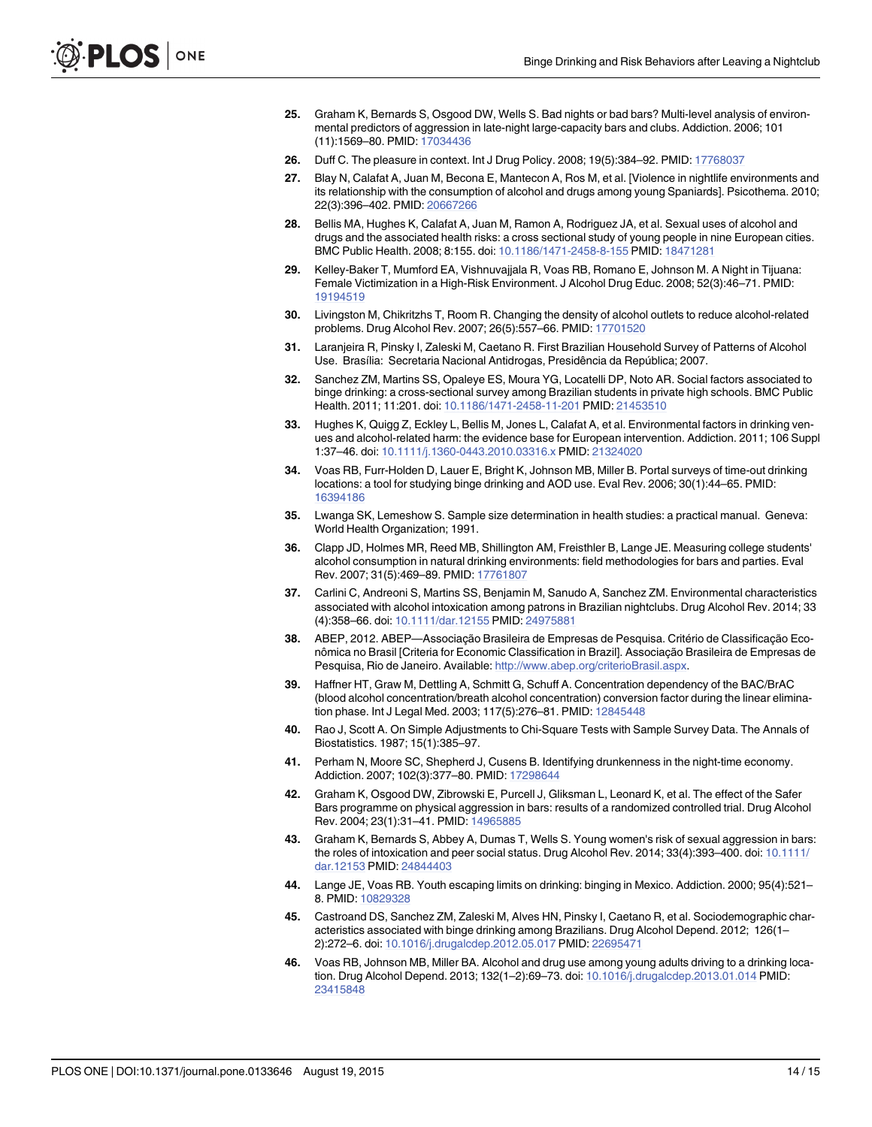- <span id="page-13-0"></span>[25.](#page-1-0) Graham K, Bernards S, Osgood DW, Wells S. Bad nights or bad bars? Multi-level analysis of environmental predictors of aggression in late-night large-capacity bars and clubs. Addiction. 2006; 101 (11):1569–80. PMID: [17034436](http://www.ncbi.nlm.nih.gov/pubmed/17034436)
- [26.](#page-1-0) Duff C. The pleasure in context. Int J Drug Policy. 2008; 19(5):384–92. PMID: [17768037](http://www.ncbi.nlm.nih.gov/pubmed/17768037)
- [27.](#page-1-0) Blay N, Calafat A, Juan M, Becona E, Mantecon A, Ros M, et al. [Violence in nightlife environments and its relationship with the consumption of alcohol and drugs among young Spaniards]. Psicothema. 2010; 22(3):396–402. PMID: [20667266](http://www.ncbi.nlm.nih.gov/pubmed/20667266)
- [28.](#page-1-0) Bellis MA, Hughes K, Calafat A, Juan M, Ramon A, Rodriguez JA, et al. Sexual uses of alcohol and drugs and the associated health risks: a cross sectional study of young people in nine European cities. BMC Public Health. 2008; 8:155. doi: [10.1186/1471-2458-8-155](http://dx.doi.org/10.1186/1471-2458-8-155) PMID: [18471281](http://www.ncbi.nlm.nih.gov/pubmed/18471281)
- [29.](#page-1-0) Kelley-Baker T, Mumford EA, Vishnuvajjala R, Voas RB, Romano E, Johnson M. A Night in Tijuana: Female Victimization in a High-Risk Environment. J Alcohol Drug Educ. 2008; 52(3):46–71. PMID: [19194519](http://www.ncbi.nlm.nih.gov/pubmed/19194519)
- [30.](#page-1-0) Livingston M, Chikritzhs T, Room R. Changing the density of alcohol outlets to reduce alcohol-related problems. Drug Alcohol Rev. 2007; 26(5):557–66. PMID: [17701520](http://www.ncbi.nlm.nih.gov/pubmed/17701520)
- [31.](#page-1-0) Laranjeira R, Pinsky I, Zaleski M, Caetano R. First Brazilian Household Survey of Patterns of Alcohol Use. Brasília: Secretaria Nacional Antidrogas, Presidência da República; 2007.
- [32.](#page-1-0) Sanchez ZM, Martins SS, Opaleye ES, Moura YG, Locatelli DP, Noto AR. Social factors associated to binge drinking: a cross-sectional survey among Brazilian students in private high schools. BMC Public Health. 2011; 11:201. doi: [10.1186/1471-2458-11-201](http://dx.doi.org/10.1186/1471-2458-11-201) PMID: [21453510](http://www.ncbi.nlm.nih.gov/pubmed/21453510)
- [33.](#page-1-0) Hughes K, Quigg Z, Eckley L, Bellis M, Jones L, Calafat A, et al. Environmental factors in drinking venues and alcohol-related harm: the evidence base for European intervention. Addiction. 2011; 106 Suppl 1:37–46. doi: [10.1111/j.1360-0443.2010.03316.x](http://dx.doi.org/10.1111/j.1360-0443.2010.03316.x) PMID: [21324020](http://www.ncbi.nlm.nih.gov/pubmed/21324020)
- [34.](#page-2-0) Voas RB, Furr-Holden D, Lauer E, Bright K, Johnson MB, Miller B. Portal surveys of time-out drinking locations: a tool for studying binge drinking and AOD use. Eval Rev. 2006; 30(1):44–65. PMID: [16394186](http://www.ncbi.nlm.nih.gov/pubmed/16394186)
- [35.](#page-2-0) Lwanga SK, Lemeshow S. Sample size determination in health studies: a practical manual. Geneva: World Health Organization; 1991.
- [36.](#page-2-0) Clapp JD, Holmes MR, Reed MB, Shillington AM, Freisthler B, Lange JE. Measuring college students' alcohol consumption in natural drinking environments: field methodologies for bars and parties. Eval Rev. 2007; 31(5):469–89. PMID: [17761807](http://www.ncbi.nlm.nih.gov/pubmed/17761807)
- [37.](#page-2-0) Carlini C, Andreoni S, Martins SS, Benjamin M, Sanudo A, Sanchez ZM. Environmental characteristics associated with alcohol intoxication among patrons in Brazilian nightclubs. Drug Alcohol Rev. 2014; 33 (4):358–66. doi: [10.1111/dar.12155](http://dx.doi.org/10.1111/dar.12155) PMID: [24975881](http://www.ncbi.nlm.nih.gov/pubmed/24975881)
- [38.](#page-3-0) ABEP, 2012. ABEP—Associação Brasileira de Empresas de Pesquisa. Critério de Classificação Econômica no Brasil [Criteria for Economic Classification in Brazil]. Associação Brasileira de Empresas de Pesquisa, Rio de Janeiro. Available: <http://www.abep.org/criterioBrasil.aspx>.
- [39.](#page-3-0) Haffner HT, Graw M, Dettling A, Schmitt G, Schuff A. Concentration dependency of the BAC/BrAC (blood alcohol concentration/breath alcohol concentration) conversion factor during the linear elimination phase. Int J Legal Med. 2003; 117(5):276–81. PMID: [12845448](http://www.ncbi.nlm.nih.gov/pubmed/12845448)
- [40.](#page-5-0) Rao J, Scott A. On Simple Adjustments to Chi-Square Tests with Sample Survey Data. The Annals of Biostatistics. 1987; 15(1):385–97.
- [41.](#page-5-0) Perham N, Moore SC, Shepherd J, Cusens B. Identifying drunkenness in the night-time economy. Addiction. 2007; 102(3):377–80. PMID: [17298644](http://www.ncbi.nlm.nih.gov/pubmed/17298644)
- [42.](#page-9-0) Graham K, Osgood DW, Zibrowski E, Purcell J, Gliksman L, Leonard K, et al. The effect of the Safer Bars programme on physical aggression in bars: results of a randomized controlled trial. Drug Alcohol Rev. 2004; 23(1):31–41. PMID: [14965885](http://www.ncbi.nlm.nih.gov/pubmed/14965885)
- [43.](#page-9-0) Graham K, Bernards S, Abbey A, Dumas T, Wells S. Young women's risk of sexual aggression in bars: the roles of intoxication and peer social status. Drug Alcohol Rev. 2014; 33(4):393–400. doi: [10.1111/](http://dx.doi.org/10.1111/dar.12153) [dar.12153](http://dx.doi.org/10.1111/dar.12153) PMID: [24844403](http://www.ncbi.nlm.nih.gov/pubmed/24844403)
- [44.](#page-9-0) Lange JE, Voas RB. Youth escaping limits on drinking: binging in Mexico. Addiction. 2000; 95(4):521– 8. PMID: [10829328](http://www.ncbi.nlm.nih.gov/pubmed/10829328)
- [45.](#page-9-0) Castroand DS, Sanchez ZM, Zaleski M, Alves HN, Pinsky I, Caetano R, et al. Sociodemographic characteristics associated with binge drinking among Brazilians. Drug Alcohol Depend. 2012; 126(1– 2):272–6. doi: [10.1016/j.drugalcdep.2012.05.017](http://dx.doi.org/10.1016/j.drugalcdep.2012.05.017) PMID: [22695471](http://www.ncbi.nlm.nih.gov/pubmed/22695471)
- [46.](#page-10-0) Voas RB, Johnson MB, Miller BA. Alcohol and drug use among young adults driving to a drinking location. Drug Alcohol Depend. 2013; 132(1–2):69–73. doi: [10.1016/j.drugalcdep.2013.01.014](http://dx.doi.org/10.1016/j.drugalcdep.2013.01.014) PMID: [23415848](http://www.ncbi.nlm.nih.gov/pubmed/23415848)